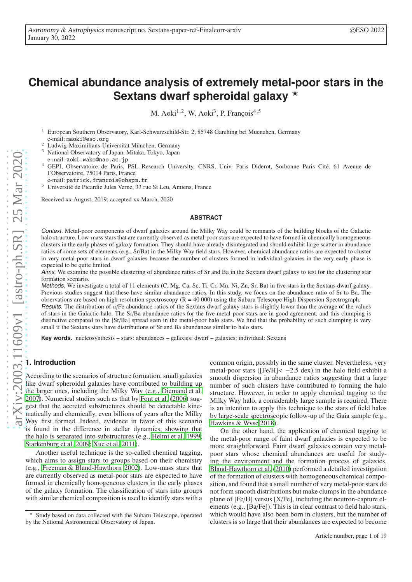# **Chemical abundance analysis of extremely metal-poor stars in the** Sextans dwarf spheroidal galaxy **\***

M. Aoki<sup>1,2</sup>, W. Aoki<sup>3</sup>, P. François<sup>4,5</sup>

<sup>1</sup> European Southern Observatory, Karl-Schwarzschild-Str. 2, 85748 Garching bei Muenchen, Germany e-mail: maoki@eso.org

<sup>2</sup> Ludwig-Maximilians-Universität München, Germany

<sup>3</sup> National Observatory of Japan, Mitaka, Tokyo, Japan

e-mail: aoki.wako@nao.ac.jp

- <sup>4</sup> GEPI, Observatoire de Paris, PSL Research University, CNRS, Univ. Paris Diderot, Sorbonne Paris Cité, 61 Avenue de l'Observatoire, 75014 Paris, France
- e-mail: patrick.francois@obspm.fr
- <sup>5</sup> Université de Picardie Jules Verne, 33 rue St Leu, Amiens, France

Received xx August, 2019; accepted xx March, 2020

## **ABSTRACT**

Context. Metal-poor components of dwarf galaxies around the Milky Way could be remnants of the building blocks of the Galactic halo structure. Low-mass stars that are currently observed as metal-poor stars are expected to have formed in chemically homogeneous clusters in the early phases of galaxy formation. They should have already disintegrated and should exhibit large scatter in abundance ratios of some sets of elements (e.g., Sr/Ba) in the Milky Way field stars. However, chemical abundance ratios are expected to cluster in very metal-poor stars in dwarf galaxies because the number of clusters formed in individual galaxies in the very early phase is expected to be quite limited.

Aims. We examine the possible clustering of abundance ratios of Sr and Ba in the Sextans dwarf galaxy to test for the clustering star formation scenario.

Methods. We investigate a total of 11 elements (C, Mg, Ca, Sc, Ti, Cr, Mn, Ni, Zn, Sr, Ba) in five stars in the Sextans dwarf galaxy. Previous studies suggest that these have similar abundance ratios. In this study, we focus on the abundance ratio of Sr to Ba. The observations are based on high-resolution spectroscopy  $(R = 40,000)$  using the Subaru Telescope High Dispersion Spectrograph. Results. The distribution of  $\alpha$ /Fe abundance ratios of the Sextans dwarf galaxy stars is slightly lower than the average of the values

of stars in the Galactic halo. The Sr/Ba abundance ratios for the five metal-poor stars are in good agreement, and this clumping is distinctive compared to the [Sr/Ba] spread seen in the metal-poor halo stars. We find that the probability of such clumping is very small if the Sextans stars have distributions of Sr and Ba abundances similar to halo stars.

**Key words.** nucleosynthesis – stars: abundances – galaxies: dwarf – galaxies: individual: Sextans

## **1. Introduction**

According to the scenarios of structure formation, small galaxies like dwarf spheroidal galaxies have contributed to building up the larger ones, including the Milky Way (e.g., [Diemand et al.](#page-12-0) [2007\)](#page-12-0). Numerical studies such as that by [Font et al. \(2006\)](#page-12-1) suggest that the accreted substructures should be detectable kinematically and chemically, even billions of years after the Milky Way first formed. Indeed, evidence in favor of this scenario is found in the difference in stellar dynamics, showing that the halo is separated into substructures (e.g., [Helmi et al.](#page-12-2) [1999](#page-12-2); [Starkenburg et al. 2009;](#page-12-3) [Xue et al. 2011\)](#page-12-4).

Another useful technique is the so-called chemical tagging, which aims to assign stars to groups based on their chemistry (e.g., [Freeman & Bland-Hawthorn 2002\)](#page-12-5). Low-mass stars that are currently observed as metal-poor stars are expected to have formed in chemically homogeneous clusters in the early phases of the galaxy formation. The classification of stars into groups with similar chemical composition is used to identify stars with a common origin, possibly in the same cluster. Nevertheless, very metal-poor stars ( $[Fe/H] < -2.5$  dex) in the halo field exhibit a smooth dispersion in abundance ratios suggesting that a large number of such clusters have contributed to forming the halo structure. However, in order to apply chemical tagging to the Milky Way halo, a considerably large sample is required. There is an intention to apply this technique to the stars of field halos by large-scale spectroscopic follow-up of the Gaia sample (e.g., [Hawkins & Wyse 2018\)](#page-12-6).

On the other hand, the application of chemical tagging to the metal-poor range of faint dwarf galaxies is expected to be more straightforward. Faint dwarf galaxies contain very metalpoor stars whose chemical abundances are useful for studying the environment and the formation process of galaxies. [Bland-Hawthorn et al.](#page-12-7) [\(2010\)](#page-12-7) performed a detailed investigation of the formation of clusters with homogeneous chemical composition, and found that a small number of very metal-poor stars do not form smooth distributions but make clumps in the abundance plane of [Fe/H] versus [X/Fe], including the neutron-capture elements (e.g., [Ba/Fe]). This is in clear contrast to field halo stars, which would have also been born in clusters, but the number of clusters is so large that their abundances are expected to become

<sup>⋆</sup> Study based on data collected with the Subaru Telescope, operated by the National Astronomical Observatory of Japan.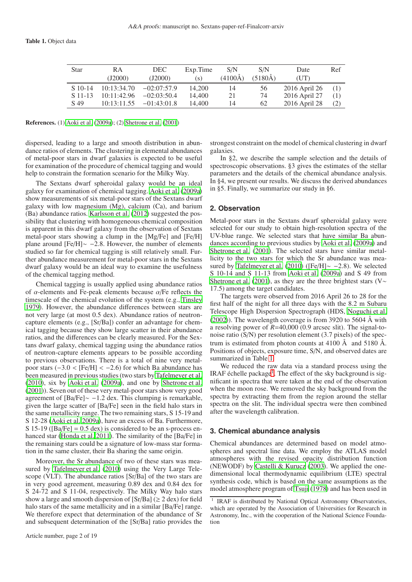<span id="page-1-0"></span>

| Star      | RA            | DEC.          | Exp. Time | S/N         | S/N         | Date          | Ref |
|-----------|---------------|---------------|-----------|-------------|-------------|---------------|-----|
|           | $($ J2000 $)$ | (J2000)       | (S)       | $(4100\AA)$ | $(5180\AA)$ | (UT)          |     |
| $S$ 10-14 | 10:13:34.70   | $-02:07:57.9$ | 14.200    | 14          | 56          | 2016 April 26 | (1) |
| $S$ 11-13 | 10:11:42.96   | $-02:03:50.4$ | 14.400    | 21          | 74          | 2016 April 27 | (1) |
| S 49      | 10:13:11.55   | $-01:43:01.8$ | 14.400    | 14          | 62          | 2016 April 28 | (2) |

References. (1) [Aoki et al. \(2009a\)](#page-12-8); (2) [Shetrone et al. \(2001\)](#page-12-9)

dispersed, leading to a large and smooth distribution in abundance ratios of elements. The clustering in elemental abundances of metal-poor stars in dwarf galaxies is expected to be useful for examination of the procedure of chemical tagging and would help to constrain the formation scenario for the Milky Way.

The Sextans dwarf spheroidal galaxy would be an ideal galaxy for examination of chemical tagging. [Aoki et al. \(2009a\)](#page-12-8) show measurements of six metal-poor stars of the Sextans dwarf galaxy with low magnesium (Mg), calcium (Ca), and barium (Ba) abundance ratios. [Karlsson et al. \(2012\)](#page-12-10) suggested the possibility that clustering with homogeneous chemical composition is apparent in this dwarf galaxy from the observation of Sextans metal-poor stars showing a clump in the [Mg/Fe] and [Fe/H] plane around [Fe/H]∼ −2.8. However, the number of elements studied so far for chemical tagging is still relatively small. Further abundance measurement for metal-poor stars in the Sextans dwarf galaxy would be an ideal way to examine the usefulness of the chemical tagging method.

Chemical tagging is usually applied using abundance ratios of  $\alpha$ -elements and Fe-peak elements because  $\alpha$ /Fe reflects the timescale of the chemical evolution of the system (e.g., [Tinsley](#page-12-11) [1979\)](#page-12-11). However, the abundance differences between stars are not very large (at most 0.5 dex). Abundance ratios of neutroncapture elements (e.g., [Sr/Ba]) confer an advantage for chemical tagging because they show large scatter in their abundance ratios, and the differences can be clearly measured. For the Sextans dwarf galaxy, chemical tagging using the abundance ratios of neutron-capture elements appears to be possible according to previous observations. There is a total of nine very metalpoor stars  $(-3.0 < [Fe/H] < -2.6$ ) for which Ba abundance has been measured in previous studies (two stars by [Tafelmeyer et al.](#page-12-12) [\(2010](#page-12-12)), six by [Aoki et al. \(2009a\)](#page-12-8), and one by [Shetrone et al.](#page-12-9) [\(2001](#page-12-9))). Seven out of these very metal-poor stars show very good agreement of [Ba/Fe]∼ −1.2 dex. This clumping is remarkable, given the large scatter of [Ba/Fe] seen in the field halo stars in the same metallicity range. The two remaining stars, S 15-19 and S 12-28 [\(Aoki et al. 2009a\)](#page-12-8), have an excess of Ba. Furthermore, S 15-19 ( $[Ba/Fe] = 0.5$  dex) is considered to be an s-process enhanced star [\(Honda et al. 2011\)](#page-12-13). The similarity of the [Ba/Fe] in the remaining stars could be a signature of low-mass star formation in the same cluster, their Ba sharing the same origin.

Moreover, the Sr abundance of two of these stars was measured by [Tafelmeyer et al. \(2010\)](#page-12-12) using the Very Large Telescope (VLT). The abundance ratios [Sr/Ba] of the two stars are in very good agreement, measuring 0.89 dex and 0.84 dex for S 24-72 and S 11-04, respectively. The Milky Way halo stars show a large and smooth dispersion of  $[Sr/Ba]$  ( $\geq 2$  dex) for field halo stars of the same metallicity and in a similar [Ba/Fe] range. We therefore expect that determination of the abundance of Sr and subsequent determination of the [Sr/Ba] ratio provides the

strongest constraint on the model of chemical clustering in dwarf galaxies.

In §2, we describe the sample selection and the details of spectroscopic observations. §3 gives the estimates of the stellar parameters and the details of the chemical abundance analysis. In §4, we present our results. We discuss the derived abundances in §5. Finally, we summarize our study in §6.

## **2. Observation**

Metal-poor stars in the Sextans dwarf spheroidal galaxy were selected for our study to obtain high-resolution spectra of the UV-blue range. We selected stars that have similar Ba abundances according to previous studies by [Aoki et al.](#page-12-8) [\(2009a\)](#page-12-8) and [Shetrone et al. \(2001\)](#page-12-9). The selected stars have similar metallicity to the two stars for which the Sr abundance was measured by [Tafelmeyer et al. \(2010\)](#page-12-12) ([Fe/H]∼ −2.8). We selected S 10-14 and S 11-13 from [Aoki et al. \(2009a\)](#page-12-8) and S 49 from [Shetrone et al. \(2001](#page-12-9)), as they are the three brightest stars (V∼ 17.5) among the target candidates.

The targets were observed from 2016 April 26 to 28 for the first half of the night for all three days with the 8.2 m Subaru Telescope High Dispersion Spectrograph (HDS, [Noguchi et al.](#page-12-14) [\(2002\)](#page-12-14)). The wavelength coverage is from 3920 to 5604 Å with a resolving power of *R*=40,000 (0.9 arcsec slit). The signal-tonoise ratio (S/N) per resolution element (3.7 pixels) of the spectrum is estimated from photon counts at 4100  $\AA$  and 5180  $\AA$ . Positions of objects, exposure time, S/N, and observed dates are summarized in Table [1.](#page-1-0)

We reduced the raw data via a standard process using the IRAF échelle package<sup>[1](#page-1-1)</sup>. The effect of the sky background is significant in spectra that were taken at the end of the observation when the moon rose. We removed the sky background from the spectra by extracting them from the region around the stellar spectra on the slit. The individual spectra were then combined after the wavelength calibration.

## **3. Chemical abundance analysis**

Chemical abundances are determined based on model atmospheres and spectral line data. We employ the ATLAS model atmospheres with the revised opacity distribution function (NEWODF) by [Castelli & Kurucz](#page-12-15) [\(2003\)](#page-12-15). We applied the onedimensional local thermodynamic equilibrium (LTE) spectral synthesis code, which is based on the same assumptions as the model atmosphere program of [Tsuji \(1978\)](#page-12-16) and has been used in

<span id="page-1-1"></span><sup>1</sup> IRAF is distributed by National Optical Astronomy Observatories, which are operated by the Association of Universities for Research in Astronomy, Inc., with the cooperation of the National Science Foundation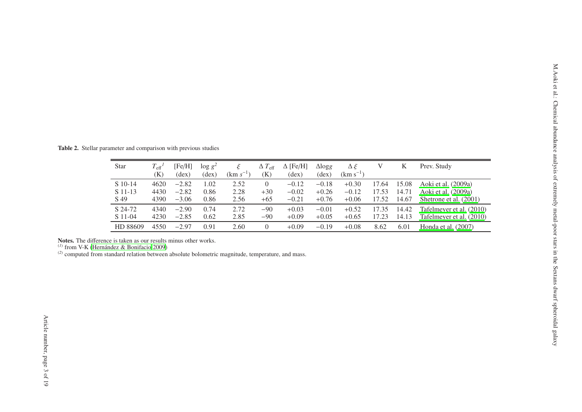| Star                                                                                                                                                                                                                         | $T_{\text{eff}}^{\ \ l}$<br>(K) | [Fe/H]<br>$(\text{dex})$ | $\log g^2$<br>$(\text{dex})$ | $\xi$<br>$(km s^{-1})$ | $\Delta T_{\rm eff}$<br>(K) | $\Delta$ [Fe/H]<br>$(\text{dex})$ | $\triangle \log g$<br>$(\text{dex})$ | $\Delta \xi$<br>$(km s^{-1})$ | $\ensuremath{\mathbf{V}}$ | $\rm K$        | Prev. Study                                          |
|------------------------------------------------------------------------------------------------------------------------------------------------------------------------------------------------------------------------------|---------------------------------|--------------------------|------------------------------|------------------------|-----------------------------|-----------------------------------|--------------------------------------|-------------------------------|---------------------------|----------------|------------------------------------------------------|
| S 10-14<br>S 11-13                                                                                                                                                                                                           | 4620<br>4430                    | $-2.82$<br>$-2.82$       | 1.02<br>0.86                 | 2.52<br>2.28           | $\overline{0}$<br>$+30$     | $-0.12$<br>$-0.02$                | $-0.18$<br>$+0.26$                   | $+0.30$<br>$-0.12$            | 17.64<br>17.53            | 15.08<br>14.71 | Aoki et al. (2009a)<br>Aoki et al. (2009a)           |
| S 49                                                                                                                                                                                                                         | 4390                            | $-3.06$                  | 0.86                         | 2.56                   | $+65$                       | $-0.21$                           | $+0.76$                              | $+0.06$                       | 17.52                     | 14.67          | Shetrone et al. (2001)                               |
| S 24-72<br>S 11-04                                                                                                                                                                                                           | 4340<br>4230                    | $-2.90$<br>$-2.85$       | 0.74<br>0.62                 | 2.72<br>2.85           | $-90$<br>$-90$              | $+0.03$<br>$+0.09$                | $-0.01$<br>$+0.05$                   | $+0.52$<br>$+0.65$            | 17.35<br>17.23            | 14.42<br>14.13 | Tafelmeyer et al. (2010)<br>Tafelmeyer et al. (2010) |
| HD 88609                                                                                                                                                                                                                     | 4550                            | $-2.97$                  | 0.91                         | 2.60                   | $\overline{0}$              | $+0.09$                           | $-0.19$                              | $+0.08$                       | 8.62                      | 6.01           | Honda et al. (2007)                                  |
| Notes. The difference is taken as our results minus other works.<br>$^{(1)}$ from V-K (Hernández & Bonifacio 2009)<br>$^{(2)}$ computed from standard relation between absolute bolometric magnitude, temperature, and mass. |                                 |                          |                              |                        |                             |                                   |                                      |                               |                           |                |                                                      |

<span id="page-2-0"></span>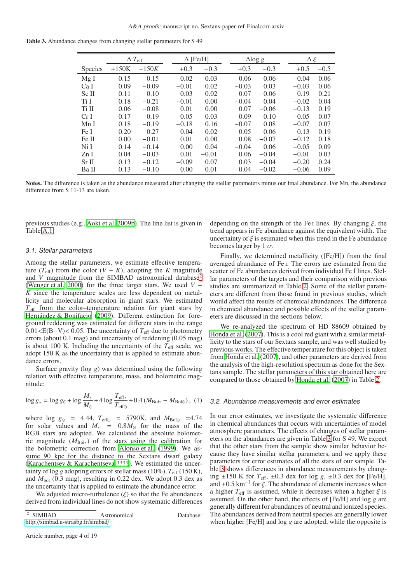<span id="page-3-1"></span>Table 3. Abundance changes from changing stellar parameters for S 49

|                  |         | $\Delta$ $T_{\rm eff}$ |         | $\Delta$ [Fe/H] |         | $\Delta$ log g | $\Delta \xi$ |        |
|------------------|---------|------------------------|---------|-----------------|---------|----------------|--------------|--------|
| Species          | $+150K$ | $-150K$                | $+0.3$  | $-0.3$          | $+0.3$  | $-0.3$         | $+0.5$       | $-0.5$ |
| MgI              | 0.15    | $-0.15$                | $-0.02$ | 0.03            | $-0.06$ | 0.06           | $-0.04$      | 0.06   |
| Ca I             | 0.09    | $-0.09$                | $-0.01$ | 0.02            | $-0.03$ | 0.03           | $-0.03$      | 0.06   |
| Sc II            | 0.11    | $-0.10$                | $-0.03$ | 0.02            | 0.07    | $-0.06$        | $-0.19$      | 0.21   |
| Ti I             | 0.18    | $-0.21$                | $-0.01$ | 0.00            | $-0.04$ | 0.04           | $-0.02$      | 0.04   |
| Ti II            | 0.06    | $-0.08$                | 0.01    | 0.00            | 0.07    | $-0.06$        | $-0.13$      | 0.19   |
| CrI              | 0.17    | $-0.19$                | $-0.05$ | 0.03            | $-0.09$ | 0.10           | $-0.05$      | 0.07   |
| Mn I             | 0.18    | $-0.19$                | $-0.18$ | 0.16            | $-0.07$ | 0.08           | $-0.07$      | 0.07   |
| Fe I             | 0.20    | $-0.27$                | $-0.04$ | 0.02            | $-0.05$ | 0.06           | $-0.13$      | 0.19   |
| Fe II            | 0.00    | $-0.01$                | 0.01    | 0.00            | 0.08    | $-0.07$        | $-0.12$      | 0.18   |
| Ni I             | 0.14    | $-0.14$                | 0.00    | 0.04            | $-0.04$ | 0.06           | $-0.05$      | 0.09   |
| ZnI              | 0.04    | $-0.03$                | 0.01    | $-0.01$         | 0.06    | $-0.04$        | $-0.01$      | 0.03   |
| Sr <sub>II</sub> | 0.13    | $-0.12$                | $-0.09$ | 0.07            | 0.03    | $-0.04$        | $-0.20$      | 0.24   |
| Ba II            | 0.13    | $-0.10$                | 0.00    | 0.01            | 0.04    | $-0.02$        | $-0.06$      | 0.09   |

Notes. The difference is taken as the abundance measured after changing the stellar parameters minus our final abundance. For Mn, the abundance difference from S 11-13 are taken.

previous studies (e.g., [Aoki et al. 2009b\)](#page-12-22). The line list is given in Table [A.1.](#page-14-0)

#### 3.1. Stellar parameters

Among the stellar parameters, we estimate effective temperature ( $T_{\text{eff}}$ ) from the color ( $V - K$ ), adopting the *K* magnitude and *V* magnitude from the SIMBAD astronomical database<sup>[2](#page-3-0)</sup> [\(Wenger et al. 2000](#page-12-23)) for the three target stars. We used *V* − *K* since the temperature scales are less dependent on metallicity and molecular absorption in giant stars. We estimated  $T_{\text{eff}}$  from the color–temperature relation for giant stars by [Hernández & Bonifacio \(2009](#page-12-24)). Different extinction for foreground reddening was estimated for different stars in the range  $0.01 \leq E(B-V) \leq 0.05$ . The uncertainty of  $T_{\text{eff}}$  due to photometry errors (about 0.1 mag) and uncertainty of reddening (0.05 mag) is about 100 K. Including the uncertainty of the  $T_{\text{eff}}$  scale, we adopt 150 K as the uncertainty that is applied to estimate abundance errors.

Surface gravity (log *g*) was determined using the following relation with effective temperature, mass, and bolometric magnitude:

$$
\log g_* = \log g_\odot + \log \frac{M_*}{M_\odot} + 4 \log \frac{T_{\text{eff}*}}{T_{\text{eff}\odot}} + 0.4 \left( M_{\text{Bol}*} - M_{\text{Bol}\odot} \right), (1)
$$

where  $\log g_{\odot} = 4.44$ ,  $T_{\text{eff}\odot} = 5790$ K, and  $M_{\text{Bolo}} = 4.74$ for solar values and  $M_*$  =  $0.8M_{\odot}$  for the mass of the RGB stars are adopted. We calculated the absolute bolometric magnitude (*M*Bol∗) of the stars using the calibration for the bolometric correction from [Alonso et al. \(1999\)](#page-12-25). We assume 90 kpc for the distance to the Sextans dwarf galaxy [\(Karachentsev & Karachentseva ????\)](#page-12-26). We estimated the uncertainty of log g adopting errors of stellar mass (10%),  $T_{\text{eff}}$  (150 K), and  $M_{bol}$  (0.3 mag), resulting in 0.22 dex. We adopt 0.3 dex as the uncertainty that is applied to estimate the abundance error.

We adjusted micro-turbulence  $(\xi)$  so that the Fe abundances derived from individual lines do not show systematic differences

Article number, page 4 of 19

depending on the strength of the Fe i lines. By changing  $\xi$ , the trend appears in Fe abundance against the equivalent width. The uncertainty of  $\xi$  is estimated when this trend in the Fe abundance becomes larger by 1  $\sigma$ .

Finally, we determined metallicity ([Fe/H]) from the final averaged abundance of Fe i. The errors are estimated from the scatter of Fe abundances derived from individual Fe I lines. Stellar parameters of the targets and their comparison with previous studies are summarized in Table [2.](#page-2-0) Some of the stellar parameters are different from those found in previous studies, which would affect the results of chemical abundances. The difference in chemical abundance and possible effects of the stellar parameters are discussed in the sections below.

We re-analyzed the spectrum of HD 88609 obtained by [Honda et al. \(2007](#page-12-27)). This is a cool red giant with a similar metallicity to the stars of our Sextans sample, and was well studied by previous works. The effective temperature for this object is taken from [Honda et al. \(2007](#page-12-27)), and other parameters are derived from the analysis of the high-resolution spectrum as done for the Sextans sample. The stellar parameters of this star obtained here are compared to those obtained by [Honda et al. \(2007\)](#page-12-27) in Table [2.](#page-2-0)

## 3.2. Abundance measurements and error estimates

In our error estimates, we investigate the systematic difference in chemical abundances that occurs with uncertainties of model atmosphere parameters. The effects of changes of stellar parameters on the abundances are given in Table [3](#page-3-1) for S 49. We expect that the other stars from the sample show similar behavior because they have similar stellar parameters, and we apply these parameters for error estimates of all the stars of our sample. Table [3](#page-3-1) shows differences in abundance measurements by changing  $\pm 150$  K for  $T_{\text{eff}}$ ,  $\pm 0.3$  dex for log *g*,  $\pm 0.3$  dex for [Fe/H], and  $\pm 0.5 \text{ km}^{-1}$  for  $\xi$ . The abundance of elements increases when a higher  $T_{\text{eff}}$  is assumed, while it decreases when a higher  $\xi$  is assumed. On the other hand, the effects of [Fe/H] and log *g* are generally different for abundances of neutral and ionized species. The abundances derived from neutral species are generally lower when higher [Fe/H] and log *g* are adopted, while the opposite is

<span id="page-3-0"></span><sup>&</sup>lt;sup>2</sup> SIMBAD Astronomical Database: http://[simbad.u-strasbg.fr](http://simbad.u-strasbg.fr/simbad/)/simbad/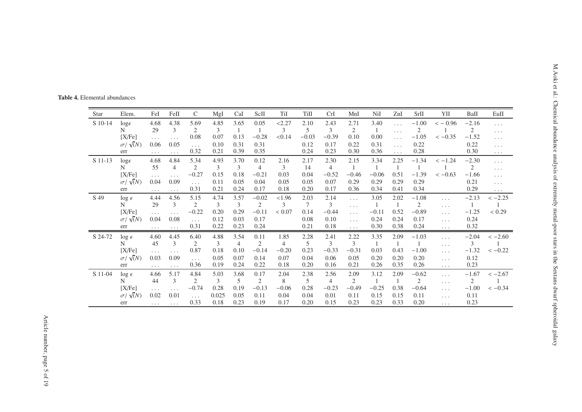<span id="page-4-0"></span>

| Star    | Elem.                       | FeI                  | FeII                         | $\mathsf{C}$                 | MgI          | CaI            | ScII            | TiI            | Till         | CrI                       | MnI                  | NiI             | ZnI                  | SrII                      | YII                  | BaII            | $\operatorname{EuII}$            |
|---------|-----------------------------|----------------------|------------------------------|------------------------------|--------------|----------------|-----------------|----------------|--------------|---------------------------|----------------------|-----------------|----------------------|---------------------------|----------------------|-----------------|----------------------------------|
| S 10-14 | $log\epsilon$               | 4.68                 | 4.38                         | 5.69                         | 4.85         | 3.65           | 0.05            | < 2.27         | 2.10         | 2.43                      | 2.71                 | 3.40            | $\ldots$ .           | $-1.00$                   | $<-0.96$             | $-2.16$         | $\ldots$                         |
|         | N                           | 29                   | 3                            | 2                            | 3            |                | 1               | 3              | 5            | 3                         | 2                    | -1              | $\cdots$             | 2                         |                      | $\overline{2}$  | $\sim$ $\sim$ $\sim$             |
|         | [X/Fe]                      | $\ldots$             | $\ldots$                     | 0.08                         | 0.07         | 0.13           | $-0.28$         | < 0.14         | $-0.03$      | $-0.39$                   | 0.10                 | 0.00            | $\sim$ $\sim$ $\sim$ | $-1.05$                   | $<-0.35$             | $-1.52$         | $\sim$ $\sim$ $\sim$             |
|         | $\sigma/\sqrt(N)$<br>err    | 0.06                 | 0.05                         | $\ldots$<br>0.32             | 0.10<br>0.21 | 0.31<br>0.39   | 0.31<br>0.35    |                | 0.12<br>0.24 | 0.17<br>0.23              | 0.22<br>0.30         | 0.31<br>0.36    | $\ldots$             | 0.22<br>0.28              |                      | 0.22<br>0.30    | $\sim$ $\sim$ $\sim$             |
| S 11-13 |                             | $\cdots$<br>4.68     | $\cdots$<br>4.84             | 5.34                         | 4.93         | 3.70           | 0.12            | 2.16           | 2.17         | 2.30                      | 2.15                 | 3.34            | $\ldots$<br>2.25     | $-1.34$                   | $<-1.24$             | $-2.30$         | $\sim$ $\sim$ $\sim$             |
|         | $log\epsilon$<br>N          | 55                   | $\overline{4}$               | 2                            | 3            | 3              | $\overline{4}$  | 3              | 14           | $\overline{4}$            | $\mathbf{1}$         | $\overline{1}$  | $\overline{1}$       |                           |                      | $\overline{2}$  | $\ldots$<br>$\sim$ $\sim$ $\sim$ |
|         | [X/Fe]                      | $\ldots$             | $\ldots$                     | $-0.27$                      | 0.15         | 0.18           | $-0.21$         | 0.03           | 0.04         | $-0.52$                   | $-0.46$              | $-0.06$         | 0.51                 | $-1.39$                   | $<-0.63$             | $-1.66$         | $\ldots$                         |
|         | $\sigma/\sqrt(N)$           | 0.04                 | 0.09                         | $\sim$ $\sim$ $\sim$         | 0.11         | 0.05           | 0.04            | 0.05           | 0.05         | 0.07                      | 0.29                 | 0.29            | 0.29                 | 0.29                      |                      | 0.21            | $\ldots$                         |
|         | err                         | $\cdots$             | $\cdots$                     | 0.31                         | 0.21         | 0.24           | 0.17            | 0.18           | 0.20         | 0.17                      | 0.36                 | 0.34            | 0.41                 | 0.34                      |                      | 0.29            | $\sim$ $\sim$ $\sim$             |
| S 49    | $\log \epsilon$             | 4.44                 | 4.56                         | 5.15                         | 4.74         | 3.57           | $-0.02$         | < 1.96         | 2.03         | 2.14                      | $\cdots$             | 3.05            | 2.02                 | $-1.08$                   | $\cdots$             | $-2.13$         | $<-2.25$                         |
|         | N                           | 29                   | 3                            | $\overline{2}$               | 3            | 3              | 2               | 3              | 7            | 3                         | $\ldots$             | $\overline{1}$  | $\overline{1}$       | 2                         | $\cdots$             | -1              |                                  |
|         | [X/Fe]<br>$\sigma/\sqrt(N)$ | $\ldots$ .<br>0.04   | $\ldots$ .<br>0.08           | $-0.22$                      | 0.20<br>0.12 | 0.29<br>0.03   | $-0.11$<br>0.17 | < 0.07         | 0.14<br>0.08 | $-0.44$<br>0.10           | $\ldots$ .           | $-0.11$<br>0.24 | 0.52<br>0.24         | $-0.89$<br>0.17           | $\cdots$             | $-1.25$<br>0.24 | < 0.29                           |
|         | err                         | $\sim$ $\sim$ $\sim$ | $\ldots$ .                   | $\sim$ $\sim$ $\sim$<br>0.31 | 0.22         | 0.23           | 0.24            |                | 0.21         | 0.18                      | $\ldots$<br>$\ldots$ | 0.30            | 0.38                 | 0.24                      | $\cdots$<br>$\cdots$ | 0.32            |                                  |
| S 24-72 | $\log \epsilon$             | 4.60                 | 4.45                         | 6.40                         | 4.88         | 3.54           | 0.11            | 1.85           | 2.28         | 2.41                      | 2.22                 | 3.35            | 2.09                 | $-1.03$                   | $\ldots$             | $-2.04$         | $<-2.60$                         |
|         | N                           | 45                   | 3                            | 2                            | 3            | $\overline{4}$ | 2               | $\overline{4}$ | 5            | 3                         | 3                    | -1              | -1                   |                           | $\cdots$             | $\mathfrak{Z}$  |                                  |
|         | [X/Fe]                      | $\ldots$             | $\ldots$                     | 0.87                         | 0.18         | 0.10           | $-0.14$         | $-0.20$        | 0.23         | $-0.33$                   | $-0.31$              | 0.03            | 0.43                 | $-1.00$                   | $\cdots$             | $-1.32$         | $<-0.22$                         |
|         | $\sigma/\sqrt(N)$           | 0.03                 | 0.09                         | $\sim$ $\sim$ $\sim$         | 0.05         | 0.07           | 0.14            | 0.07           | 0.04         | 0.06                      | 0.05                 | 0.20            | 0.20                 | 0.20                      | $\cdots$             | 0.12            |                                  |
|         | err                         | $\ldots$ .           | $\ldots$ .                   | 0.36                         | 0.19         | 0.24           | 0.22            | 0.18           | 0.20         | 0.16                      | 0.21                 | 0.26            | 0.35                 | 0.26                      | $\ldots$             | 0.23            |                                  |
| S 11-04 | $\log \epsilon$             | 4.66                 | 5.17                         | 4.84                         | 5.03         | 3.68           | 0.17            | 2.04           | 2.38         | 2.56                      | 2.09                 | 3.12            | 2.09                 | $-0.62$                   | $\cdots$             | $-1.67$         | $<-2.67$                         |
|         | N<br>[X/Fe]                 | 44                   | 3                            | 2<br>$-0.74$                 | 3<br>0.28    | 5<br>0.19      | 2<br>$-0.13$    | 8<br>$-0.06$   | 5<br>0.28    | $\overline{4}$<br>$-0.23$ | 2<br>$-0.49$         | -1<br>$-0.25$   | -1<br>0.38           | $\overline{2}$<br>$-0.64$ | $\cdots$             | 2<br>$-1.00$    | $<-0.34$                         |
|         | $\sigma/\sqrt(N)$           | $\ldots$ .<br>0.02   | $\sim$ $\sim$ $\sim$<br>0.01 | $\ldots$                     | 0.025        | 0.05           | 0.11            | 0.04           | 0.04         | 0.01                      | 0.11                 | 0.15            | 0.15                 | 0.11                      | $\cdots$<br>$\cdots$ | 0.11            |                                  |
|         | err                         | $\sim$ $\sim$ $\sim$ | $\ldots$ .                   | 0.33                         | 0.18         | 0.23           | 0.19            | 0.17           | 0.20         | 0.15                      | 0.23                 | 0.23            | 0.33                 | 0.20                      | $\cdots$             | 0.23            |                                  |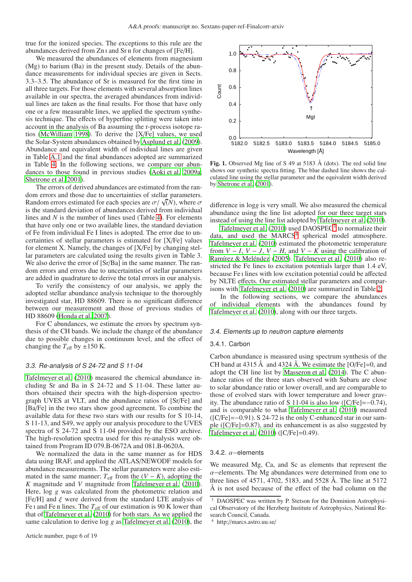true for the ionized species. The exceptions to this rule are the abundances derived from Zn i and Sr ii for changes of [Fe/H].

We measured the abundances of elements from magnesium (Mg) to barium (Ba) in the present study. Details of the abundance measurements for individual species are given in Sects. 3.3–3.5. The abundance of Sr is measured for the first time in all three targets. For those elements with several absorption lines available in our spectra, the averaged abundances from individual lines are taken as the final results. For those that have only one or a few measurable lines, we applied the spectrum synthesis technique. The effects of hyperfine splitting were taken into account in the analysis of Ba assuming the r-process isotope ratios [\(McWilliam 1998\)](#page-12-28). To derive the [X/Fe] values, we used the Solar-System abundances obtained by [Asplund et al. \(2009](#page-12-29)). Abundance and equivalent width of individual lines are given in Table [A.1](#page-14-0) and the final abundances adopted are summarized in Table [4.](#page-4-0) In the following sections, we compare our abundances to those found in previous studies [\(Aoki et al. 2009a](#page-12-8); [Shetrone et al. 2001\)](#page-12-9).

The errors of derived abundances are estimated from the random errors and those due to uncertainties of stellar parameters. Random errors estimated for each species are  $\sigma / \sqrt(N)$ , where  $\sigma$ is the standard deviation of abundances derived from individual lines and *N* is the number of lines used (Table [4\)](#page-4-0). For elements that have only one or two available lines, the standard deviation of Fe from individual Fe I lines is adopted. The error due to uncertainties of stellar parameters is estimated for [X/Fe] values for element X. Namely, the changes of [X/Fe] by changing stellar parameters are calculated using the results given in Table 3. We also derive the error of  $[Sr/Ba]$  in the same manner. The random errors and errors due to uncertainties of stellar parameters are added in quadrature to derive the total errors in our analysis.

To verify the consistency of our analysis, we apply the adopted stellar abundance analysis technique to the thoroughly investigated star, HD 88609. There is no significant difference between our measurement and those of previous studies of HD 88609 [\(Honda et al. 2007\)](#page-12-27).

For C abundances, we estimate the errors by spectrum synthesis of the CH bands. We include the change of the abundance due to possible changes in continuum level, and the effect of changing the  $T_{\text{eff}}$  by  $\pm 150$  K.

## 3.3. Re-analysis of S 24-72 and S 11-04

[Tafelmeyer et al.](#page-12-12) [\(2010\)](#page-12-12) measured the chemical abundance including Sr and Ba in S 24-72 and S 11-04. These latter authors obtained their spectra with the high-dispersion spectrograph UVES at VLT, and the abundance ratios of [Sr/Fe] and [Ba/Fe] in the two stars show good agreement. To combine the available data for these two stars with our results for S 10-14, S 11-13, and S49, we apply our analysis procedure to the UVES spectra of S 24-72 and S 11-04 provided by the ESO archive. The high-resolution spectra used for this re-analysis were obtained from Program ID 079.B-0672A and 081.B-0620A.

We normalized the data in the same manner as for HDS data using IRAF, and applied the ATLAS/NEWODF models for abundance measurements. The stellar parameters were also estimated in the same manner;  $T_{\text{eff}}$  from the  $(V - K)$ , adopting the *K* magnitude and *V* magnitude from [Tafelmeyer et al. \(2010](#page-12-12)). Here, log *g* was calculated from the photometric relation and [Fe/H] and  $\xi$  were derived from the standard LTE analysis of Fe I and Fe II lines. The  $T_{\text{eff}}$  of our estimation is 90 K lower than that of [Tafelmeyer et al.](#page-12-12) [\(2010\)](#page-12-12) for both stars. As we applied the same calculation to derive log *g* as [Tafelmeyer et al. \(2010\)](#page-12-12), the





<span id="page-5-2"></span>Fig. 1. Observed Mg line of S 49 at 5183  $\AA$  (dots). The red solid line shows our synthetic spectra fitting. The blue dashed line shows the calculated line using the stellar parameter and the equivalent width derived by [Shetrone et al. \(2001](#page-12-9)).

difference in log*g* is very small. We also measured the chemical abundance using the line list adopted for our three target stars instead of using the line list adopted by [Tafelmeyer et al.](#page-12-12) [\(2010\)](#page-12-12).

[Tafelmeyer et al.](#page-12-12)  $(2010)$  used DAOSPEC<sup>[3](#page-5-0)</sup> to normalize their data, and used the MARCS<sup>[4](#page-5-1)</sup> spherical model atmosphere. [Tafelmeyer et al.](#page-12-12) [\(2010\)](#page-12-12) estimated the photometric temperature from  $V - I$ ,  $V - J$ ,  $V - H$ , and  $V - K$  using the calibration of [Ramírez & Meléndez \(2005\)](#page-12-30). [Tafelmeyer et al. \(2010](#page-12-12)) also restricted the Fe lines to excitation potentials larger than 1.4 eV, because Fe i lines with low excitation potential could be affected by NLTE effects. Our estimated stellar parameters and comparisons with [Tafelmeyer et al. \(2010](#page-12-12)) are summarized in Table [2.](#page-2-0)

In the following sections, we compare the abundances of individual elements with the abundances found by [Tafelmeyer et al. \(2010\)](#page-12-12), along with our three targets.

#### 3.4. Elements up to neutron capture elements

## 3.4.1. Carbon

Carbon abundance is measured using spectrum synthesis of the CH band at 4315 Å and 4324 Å. We estimate the  $[O/Fe]=0$ , and adopt the CH line list by [Masseron et al. \(2014\)](#page-12-31). The C abundance ratios of the three stars observed with Subaru are close to solar abundance ratio or lower overall, and are comparable to those of evolved stars with lower temperature and lower gravity. The abundance ratio of S 11-04 is also low ([C/Fe]=−0.74), and is comparable to what [Tafelmeyer et al. \(2010\)](#page-12-12) measured ([C/Fe]=−0.91). S 24-72 is the only C-enhanced star in our sample ([C/Fe]=0.87), and its enhancement is as also suggested by [Tafelmeyer et al. \(2010\)](#page-12-12) ([C/Fe]=0.49).

### 3.4.2. α−elements

We measured Mg, Ca, and Sc as elements that represent the  $\alpha$ −elements. The Mg abundances were determined from one to three lines of 4571, 4702, 5183, and 5528 Å. The line at 5172 Å is not used because of the effect of the bad column on the

<span id="page-5-0"></span>DAOSPEC was written by P. Stetson for the Dominion Astrophysical Observatory of the Herzberg Institute of Astrophysics, National Research Council, Canada.

<span id="page-5-1"></span><sup>4</sup> http://marcs.astro.uu.se/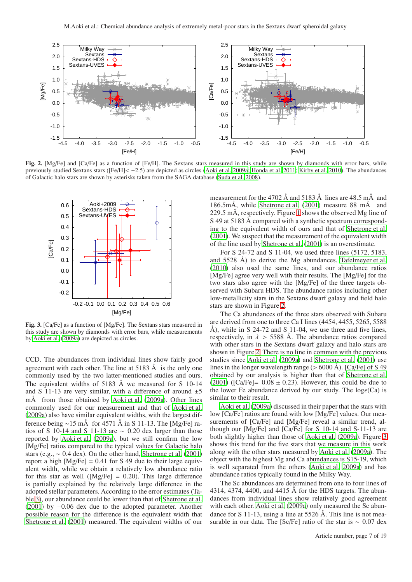

<span id="page-6-0"></span>Fig. 2. [Mg/Fe] and [Ca/Fe] as a function of [Fe/H]. The Sextans stars measured in this study are shown by diamonds with error bars, while previously studied Sextans stars ([Fe/H]< −2.5) are depicted as circles [\(Aoki et al. 2009a](#page-12-8); [Honda et al. 2011](#page-12-13); [Kirby et al. 2010\)](#page-12-32). The abundances of Galactic halo stars are shown by asterisks taken from the SAGA database [\(Suda et al. 2008](#page-12-33)).



<span id="page-6-1"></span>Fig. 3. [Ca/Fe] as a function of [Mg/Fe]. The Sextans stars measured in this study are shown by diamonds with error bars, while measurements by [Aoki et al. \(2009a\)](#page-12-8) are depicted as circles.

CCD. The abundances from individual lines show fairly good agreement with each other. The line at  $5183 \text{ Å}$  is the only one commonly used by the two latter-mentioned studies and ours. The equivalent widths of 5183 Å we measured for S 10-14 and S 11-13 are very similar, with a difference of around  $\pm 5$ mÅ from those obtained by [Aoki et al.](#page-12-8) [\(2009a](#page-12-8)). Other lines commonly used for our measurement and that of [Aoki et al.](#page-12-8) [\(2009a\)](#page-12-8) also have similar equivalent widths, with the largest difference being ∼15 mÅ for 4571 Å in S 11-13. The [Mg/Fe] ratios of S 10-14 and S 11-13 are  $\sim$  0.20 dex larger than those reported by [Aoki et al. \(2009a\)](#page-12-8), but we still confirm the low [Mg/Fe] ratios compared to the typical values for Galactic halo stars (e.g., ∼ 0.4 dex). On the other hand, [Shetrone et al.](#page-12-9) [\(2001\)](#page-12-9) report a high  $[Mg/Fe] = 0.41$  for S 49 due to their large equivalent width, while we obtain a relatively low abundance ratio for this star as well ( $[Mg/Fe] = 0.20$ ). This large difference is partially explained by the relatively large difference in the adopted stellar parameters. According to the error estimates (Table [3\)](#page-3-1), our abundance could be lower than that of [Shetrone et al.](#page-12-9) [\(2001](#page-12-9)) by −0.06 dex due to the adopted parameter. Another possible reason for the difference is the equivalent width that [Shetrone et al. \(2001](#page-12-9)) measured. The equivalent widths of our

measurement for the 4702 Å and 5183 Å lines are 48.5 mÅ and 186.5mÅ, while [Shetrone et al.](#page-12-9) [\(2001\)](#page-12-9) measure 88 mÅ and 229.5 mÅ, respectively. Figure [1](#page-5-2) shows the observed Mg line of S 49 at 5183 Å compared with a synthetic spectrum corresponding to the equivalent width of ours and that of [Shetrone et al.](#page-12-9) [\(2001\)](#page-12-9). We suspect that the measurement of the equivalent width of the line used by [Shetrone et al.](#page-12-9) [\(2001\)](#page-12-9) is an overestimate.

For S 24-72 and S 11-04, we used three lines (5172, 5183, and 5528 Å) to derive the Mg abundances. [Tafelmeyer et al.](#page-12-12) [\(2010\)](#page-12-12) also used the same lines, and our abundance ratios [Mg/Fe] agree very well with their results. The [Mg/Fe] for the two stars also agree with the [Mg/Fe] of the three targets observed with Subaru HDS. The abundance ratios including other low-metallicity stars in the Sextans dwarf galaxy and field halo stars are shown in Figure [2.](#page-6-0)

The Ca abundances of the three stars observed with Subaru are derived from one to three Ca I lines (4454, 4455, 5265, 5588 Å), while in S 24-72 and S 11-04, we use three and five lines, respectively, in  $\lambda > 5588$  Å. The abundance ratios compared with other stars in the Sextans dwarf galaxy and halo stars are shown in Figure [2.](#page-6-0) There is no line in common with the previous studies since [Aoki et al. \(2009a\)](#page-12-8) and [Shetrone et al.](#page-12-9) [\(2001\)](#page-12-9) use lines in the longer wavelength range ( $> 6000$  Å). [Ca/Fe] of S 49 obtained by our analysis is higher than that of [Shetrone et al.](#page-12-9) [\(2001\)](#page-12-9) ( $[Ca/Fe] = 0.08 \pm 0.23$ ). However, this could be due to the lower Fe abundance derived by our study. The  $log\epsilon(Ca)$  is similar to their result.

[Aoki et al. \(2009a\)](#page-12-8) discussed in their paper that the stars with low [Ca/Fe] ratios are found with low [Mg/Fe] values. Our measurements of [Ca/Fe] and [Mg/Fe] reveal a similar trend, although our [Mg/Fe] and [Ca/Fe] for S 10-14 and S-11-13 are both slightly higher than those of [Aoki et al.](#page-12-8) [\(2009a](#page-12-8)). Figure [3](#page-6-1) shows this trend for the five stars that we measure in this work along with the other stars measured by [Aoki et al. \(2009a\)](#page-12-8). The object with the highest Mg and Ca abundances is S15-19, which is well separated from the others [\(Aoki et al. 2009a](#page-12-8)) and has abundance ratios typically found in the Milky Way.

The Sc abundances are determined from one to four lines of 4314, 4374, 4400, and 4415 Å for the HDS targets. The abundances from individual lines show relatively good agreement with each other. [Aoki et al. \(2009a\)](#page-12-8) only measured the Sc abundance for S 11-13, using a line at 5526 Å. This line is not measurable in our data. The [Sc/Fe] ratio of the star is  $\sim 0.07$  dex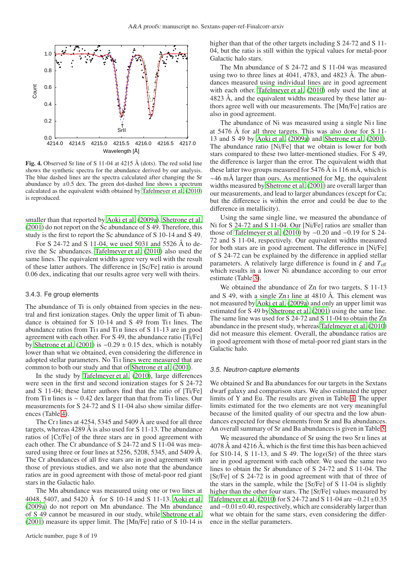

<span id="page-7-0"></span>Fig. 4. Observed Sr line of S 11-04 at 4215 Å (dots). The red solid line shows the synthetic spectra for the abundance derived by our analysis. The blue dashed lines are the spectra calculated after changing the Sr abundance by  $\pm 0.5$  dex. The green dot-dashed line shows a spectrum calculated as the equivalent width obtained by [Tafelmeyer et al. \(2010\)](#page-12-12) is reproduced.

smaller than that reported by [Aoki et al. \(2009a\)](#page-12-8). [Shetrone et al.](#page-12-9) [\(2001](#page-12-9)) do not report on the Sc abundance of S 49. Therefore, this study is the first to report the Sc abundance of S 10-14 and S 49.

For S 24-72 and S 11-04, we used 5031 and 5526 Å to derive the Sc abundances. [Tafelmeyer et al. \(2010](#page-12-12)) also used the same lines. The equivalent widths agree very well with the result of these latter authors. The difference in [Sc/Fe] ratio is around 0.06 dex, indicating that our results agree very well with theirs.

#### 3.4.3. Fe group elements

The abundance of Ti is only obtained from species in the neutral and first ionization stages. Only the upper limit of Ti abundance is obtained for S 10-14 and S 49 from Ti<sub>I</sub> lines. The abundance ratios from Ti<sub>I</sub> and T<sub>iI</sub> lines of S 11-13 are in good agreement with each other. For S 49, the abundance ratio [Ti/Fe] by [Shetrone et al.](#page-12-9) [\(2001\)](#page-12-9) is  $-0.29 \pm 0.15$  dex, which is notably lower than what we obtained, even considering the difference in adopted stellar parameters. No Ti<sub>I</sub> lines were measured that are common to both our study and that of [Shetrone et al.](#page-12-9) [\(2001\)](#page-12-9).

In the study by [Tafelmeyer et al.](#page-12-12) [\(2010\)](#page-12-12), large differences were seen in the first and second ionization stages for S 24-72 and S 11-04; these latter authors find that the ratio of [Ti/Fe] from Ti  $\pi$  lines is ~ 0.42 dex larger than that from Ti  $\pi$  lines. Our measurements for S 24-72 and S 11-04 also show similar differences (Table [4\)](#page-4-0).

The Cr i lines at 4254, 5345 and 5409 Å are used for all three targets, whereas 4289 Å is also used for S 11-13. The abundance ratios of [Cr/Fe] of the three stars are in good agreement with each other. The Cr abundance of S 24-72 and S 11-04 was measured using three or four lines at 5256, 5208, 5345, and 5409 Å. The Cr abundances of all five stars are in good agreement with those of previous studies, and we also note that the abundance ratios are in good agreement with those of metal-poor red giant stars in the Galactic halo.

The Mn abundance was measured using one or two lines at 4048, 5407, and 5420 Å for S 10-14 and S 11-13. [Aoki et al.](#page-12-8) [\(2009a\)](#page-12-8) do not report on Mn abundance. The Mn abundance of S 49 cannot be measured in our study, while [Shetrone et al.](#page-12-9) [\(2001](#page-12-9)) measure its upper limit. The [Mn/Fe] ratio of S 10-14 is higher than that of the other targets including S 24-72 and S 11- 04, but the ratio is still within the typical values for metal-poor Galactic halo stars.

The Mn abundance of S 24-72 and S 11-04 was measured using two to three lines at 4041, 4783, and 4823 Å. The abundances measured using individual lines are in good agreement with each other. [Tafelmeyer et al.](#page-12-12) [\(2010\)](#page-12-12) only used the line at 4823 Å, and the equivalent widths measured by these latter authors agree well with our measurements. The [Mn/Fe] ratios are also in good agreement.

The abundance of Ni was measured using a single Ni<sub>I</sub> line at 5476 Å for all three targets. This was also done for S 11- 13 and S 49 by [Aoki et al.](#page-12-8) [\(2009a\)](#page-12-8) and [Shetrone et al.](#page-12-9) [\(2001\)](#page-12-9). The abundance ratio [Ni/Fe] that we obtain is lower for both stars compared to these two latter-mentioned studies. For S 49, the difference is larger than the error. The equivalent width that these latter two groups measured for 5476 Å is 116 mÅ, which is ∼46 mÅ larger than ours. As mentioned for Mg, the equivalent widths measured by [Shetrone et al. \(2001\)](#page-12-9) are overall larger than our measurements, and lead to larger abundances (except for Ca; but the difference is within the error and could be due to the difference in metallicity).

Using the same single line, we measured the abundance of Ni for S 24-72 and S 11-04. Our [Ni/Fe] ratios are smaller than those of [Tafelmeyer et al.](#page-12-12) [\(2010\)](#page-12-12) by −0.20 and −0.19 for S 24- 72 and S 11-04, respectively. Our equivalent widths measured for both stars are in good agreement. The difference in [Ni/Fe] of S 24-72 can be explained by the difference in applied stellar parameters. A relatively large difference is found in  $\xi$  and  $T_{\text{eff}}$ which results in a lower Ni abundance according to our error estimate (Table [3\)](#page-3-1).

We obtained the abundance of Zn for two targets, S 11-13 and S 49, with a single Zn i line at 4810 Å. This element was not measured by [Aoki et al.](#page-12-8) [\(2009a\)](#page-12-8) and only an upper limit was estimated for S 49 by [Shetrone et al.](#page-12-9) [\(2001\)](#page-12-9) using the same line. The same line was used for S 24-72 and S 11-04 to obtain the Zn abundance in the present study, whereas [Tafelmeyer et al. \(2010](#page-12-12)) did not measure this element. Overall, the abundance ratios are in good agreement with those of metal-poor red giant stars in the Galactic halo.

#### 3.5. Neutron-capture elements

We obtained Sr and Ba abundances for our targets in the Sextans dwarf galaxy and comparison stars. We also estimated the upper limits of Y and Eu. The results are given in Table [4.](#page-4-0) The upper limits estimated for the two elements are not very meaningful because of the limited quality of our spectra and the low abundances expected for these elements from Sr and Ba abundances. An overall summary of Sr and Ba abundances is given in Table [5.](#page-9-0)

We measured the abundance of Sr using the two Sr II lines at  $4078$  Å and  $4216$  Å, which is the first time this has been achieved for S10-14, S 11-13, and S 49. The log $\epsilon$ (Sr) of the three stars are in good agreement with each other. We used the same two lines to obtain the Sr abundance of S 24-72 and S 11-04. The [Sr/Fe] of S 24-72 is in good agreement with that of three of the stars in the sample, while the [Sr/Fe] of S 11-04 is slightly higher than the other four stars. The [Sr/Fe] values measured by [Tafelmeyer et al. \(2010\)](#page-12-12) for S 24-72 and S 11-04 are −0.21±0.35 and −0.01±0.40, respectively, which are considerably larger than what we obtain for the same stars, even considering the difference in the stellar parameters.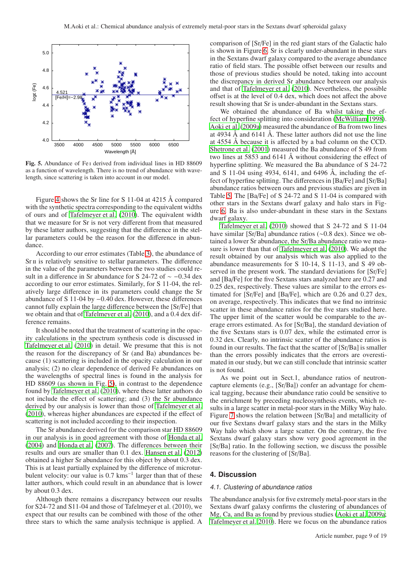

<span id="page-8-0"></span>Fig. 5. Abundance of Fe i derived from individual lines in HD 88609 as a function of wavelength. There is no trend of abundance with wavelength, since scattering is taken into account in our model.

Figure [4](#page-7-0) shows the Sr line for S 11-04 at 4215 Å compared with the synthetic spectra corresponding to the equivalent widths of ours and of [Tafelmeyer et al. \(2010\)](#page-12-12). The equivalent width that we measure for Sr is not very different from that measured by these latter authors, suggesting that the difference in the stellar parameters could be the reason for the difference in abundance.

According to our error estimates (Table [3\)](#page-3-1), the abundance of Sr II is relatively sensitive to stellar parameters. The difference in the value of the parameters between the two studies could result in a difference in Sr abundance for S 24-72 of ∼ −0.34 dex according to our error estimates. Similarly, for S 11-04, the relatively large difference in its parameters could change the Sr abundance of S 11-04 by −0.40 dex. However, these differences cannot fully explain the large difference between the [Sr/Fe] that we obtain and that of [Tafelmeyer et al. \(2010\)](#page-12-12), and a 0.4 dex difference remains.

It should be noted that the treatment of scattering in the opacity calculations in the spectrum synthesis code is discussed in [Tafelmeyer et al.](#page-12-12) [\(2010\)](#page-12-12) in detail. We presume that this is not the reason for the discrepancy of Sr (and Ba) abundances because (1) scattering is included in the opacity calculation in our analysis; (2) no clear dependence of derived Fe abundances on the wavelengths of spectral lines is found in the analysis for HD 88609 (as shown in Fig. [5\)](#page-8-0), in contrast to the dependence found by [Tafelmeyer et al. \(2010](#page-12-12)), where these latter authors do not include the effect of scattering; and (3) the Sr abundance derived by our analysis is lower than those of [Tafelmeyer et al.](#page-12-12) [\(2010](#page-12-12)), whereas higher abundances are expected if the effect of scattering is not included according to their inspection.

The Sr abundance derived for the comparison star HD 88609 in our analysis is in good agreement with those of [Honda et al.](#page-12-34) [\(2004](#page-12-34)) and [Honda et al.](#page-12-27) [\(2007\)](#page-12-27). The differences between their results and ours are smaller than 0.1 dex. [Hansen et al.](#page-12-35) [\(2012\)](#page-12-35) obtained a higher Sr abundance for this object by about 0.3 dex. This is at least partially explained by the difference of microturbulent velocity: our value is 0.7 kms<sup>-1</sup> larger than that of these latter authors, which could result in an abundance that is lower by about 0.3 dex.

Although there remains a discrepancy between our results for S24-72 and S11-04 and those of Tafelmeyer et al. (2010), we expect that our results can be combined with those of the other three stars to which the same analysis technique is applied. A

comparison of [Sr/Fe] in the red giant stars of the Galactic halo is shown in Figure [6.](#page-9-1) Sr is clearly under-abundant in these stars in the Sextans dwarf galaxy compared to the average abundance ratio of field stars. The possible offset between our results and those of previous studies should be noted, taking into account the discrepancy in derived Sr abundance between our analysis and that of [Tafelmeyer et al. \(2010\)](#page-12-12). Nevertheless, the possible offset is at the level of 0.4 dex, which does not affect the above result showing that Sr is under-abundant in the Sextans stars.

We obtained the abundance of Ba whilst taking the effect of hyperfine splitting into consideration [\(McWilliam 1998\)](#page-12-28). [Aoki et al. \(2009a\)](#page-12-8) measured the abundance of Ba from two lines at 4934 Å and 6141 Å. These latter authors did not use the line at 4554 Å because it is affected by a bad column on the CCD. [Shetrone et al.](#page-12-9) [\(2001\)](#page-12-9) measured the Ba abundance of S 49 from two lines at 5853 and 6141 Å without considering the effect of hyperfine splitting. We measured the Ba abundance of S 24-72 and S 11-04 using 4934, 6141, and 6496 Å, including the effect of hyperfine splitting. The differences in [Ba/Fe] and [Sr/Ba] abundance ratios between ours and previous studies are given in Table [5.](#page-9-0) The [Ba/Fe] of S 24-72 and S 11-04 is compared with other stars in the Sextans dwarf galaxy and halo stars in Figure [6.](#page-9-1) Ba is also under-abundant in these stars in the Sextans dwarf galaxy.

[Tafelmeyer et al. \(2010](#page-12-12)) showed that S 24-72 and S 11-04 have similar [Sr/Ba] abundance ratios (∼0.8 dex). Since we obtained a lower Sr abundance, the Sr/Ba abundance ratio we measure is lower than that of [Tafelmeyer et al.](#page-12-12) [\(2010\)](#page-12-12). We adopt the result obtained by our analysis which was also applied to the abundance measurements for S 10-14, S 11-13, and S 49 observed in the present work. The standard deviations for [Sr/Fe] and [Ba/Fe] for the five Sextans stars analyzed here are 0.27 and 0.25 dex, respectively. These values are similar to the errors estimated for [Sr/Fe] and [Ba/Fe], which are 0.26 and 0.27 dex, on average, respectively. This indicates that we find no intrinsic scatter in these abundance ratios for the five stars studied here. The upper limit of the scatter would be comparable to the average errors estimated. As for [Sr/Ba], the standard deviation of the five Sextans stars is 0.07 dex, while the estimated error is 0.32 dex. Clearly, no intrinsic scatter of the abundance ratios is found in our results. The fact that the scatter of [Sr/Ba] is smaller than the errors possibly indicates that the errors are overestimated in our study, but we can still conclude that intrinsic scatter is not found.

As we point out in Sect.1, abundance ratios of neutroncapture elements (e.g., [Sr/Ba]) confer an advantage for chemical tagging, because their abundance ratio could be sensitive to the enrichment by preceding nucleosynthesis events, which results in a large scatter in metal-poor stars in the Milky Way halo. Figure [7](#page-9-2) shows the relation between [Sr/Ba] and metallicity of our five Sextans dwarf galaxy stars and the stars in the Milky Way halo which show a large scatter. On the contrary, the five Sextans dwarf galaxy stars show very good agreement in the [Sr/Ba] ratio. In the following section, we discuss the possible reasons for the clustering of [Sr/Ba].

## **4. Discussion**

## 4.1. Clustering of abundance ratios

The abundance analysis for five extremely metal-poor stars in the Sextans dwarf galaxy confirms the clustering of abundances of Mg, Ca, and Ba as found by previous studies [\(Aoki et al. 2009a;](#page-12-8) [Tafelmeyer et al. 2010\)](#page-12-12). Here we focus on the abundance ratios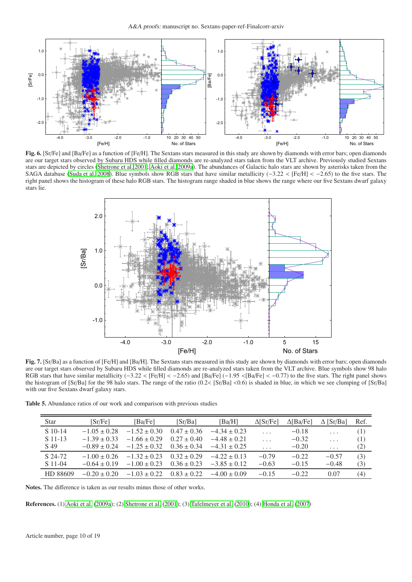

<span id="page-9-1"></span>Fig. 6. [Sr/Fe] and [Ba/Fe] as a function of [Fe/H]. The Sextans stars measured in this study are shown by diamonds with error bars; open diamonds are our target stars observed by Subaru HDS while filled diamonds are re-analyzed stars taken from the VLT archive. Previously studied Sextans stars are depicted by circles [\(Shetrone et al. 2001](#page-12-9); [Aoki et al. 2009a\)](#page-12-8). The abundances of Galactic halo stars are shown by asterisks taken from the SAGA database [\(Suda et al. 2008](#page-12-33)). Blue symbols show RGB stars that have similar metallicity (−3.22 < [Fe/H] < −2.65) to the five stars. The right panel shows the histogram of these halo RGB stars. The histogram range shaded in blue shows the range where our five Sextans dwarf galaxy stars lie.



<span id="page-9-2"></span>Fig. 7. [Sr/Ba] as a function of [Fe/H] and [Ba/H]. The Sextans stars measured in this study are shown by diamonds with error bars; open diamonds are our target stars observed by Subaru HDS while filled diamonds are re-analyzed stars taken from the VLT archive. Blue symbols show 98 halo RGB stars that have similar metallicity (−3.22 < [Fe/H] < −2.65) and [Ba/Fe] (−1.95 <[Ba/Fe] < −0.77) to the five stars. The right panel shows the histogram of  $[Sr/Ba]$  for the 98 halo stars. The range of the ratio  $(0.2 < [Sr/Ba] < 0.6$  is shaded in blue, in which we see clumping of  $[Sr/Ba]$ with our five Sextans dwarf galaxy stars.

Table 5. Abundance ratios of our work and comparison with previous studies

<span id="page-9-0"></span>

| <b>Star</b> | [Sr/Fe]          | [Ba/Fe]          | [Sr/Ba]         | [ $Ba/H$ ]       | $\Delta$ [Sr/Fe]        | $\Delta$ [Ba/Fe] | $\Delta$ [Sr/Ba]        | Ref. |
|-------------|------------------|------------------|-----------------|------------------|-------------------------|------------------|-------------------------|------|
| S 10-14     | $-1.05 + 0.28$   | $-1.52 + 0.30$   | $0.47 \pm 0.36$ | $-4.34 \pm 0.23$ | .                       | $-0.18$          | $\cdot$ $\cdot$ $\cdot$ | (1)  |
| S 11-13     | $-1.39 + 0.33$   | $-1.66 + 0.29$   | $0.27 + 0.40$   | $-4.48 + 0.21$   | .                       | $-0.32$          | $\ldots$                | (1)  |
| S 49        | $-0.89 \pm 0.24$ | $-1.25 \pm 0.32$ | $0.36 \pm 0.34$ | $-4.31 \pm 0.25$ | $\cdot$ $\cdot$ $\cdot$ | $-0.20$          | $\cdots$                | (2)  |
| S 24-72     | $-1.00 + 0.26$   | $-1.32 + 0.23$   | $0.32 + 0.29$   | $-4.22 + 0.13$   | $-0.79$                 | $-0.22$          | $-0.57$                 | (3)  |
| $S$ 11-04   | $-0.64 + 0.19$   | $-1.00 + 0.23$   | $0.36 \pm 0.23$ | $-3.85 + 0.12$   | $-0.63$                 | $-0.15$          | $-0.48$                 | (3)  |
| HD 88609    | $-0.20 + 0.20$   | $-1.03 + 0.22$   | $0.83 \pm 0.22$ | $-4.00 + 0.09$   | $-0.15$                 | $-0.22$          | 0.07                    | (4)  |

Notes. The difference is taken as our results minus those of other works.

References. (1) [Aoki et al. \(2009a](#page-12-8)); (2) [Shetrone et al.](#page-12-9) [\(2001](#page-12-9)); (3) [Tafelmeyer et al. \(2010](#page-12-12)); (4) [Honda et al.](#page-12-27) [\(2007](#page-12-27))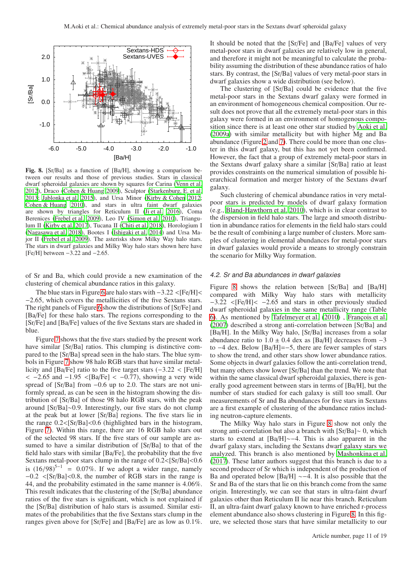

<span id="page-10-0"></span>Fig. 8. [Sr/Ba] as a function of [Ba/H], showing a comparison between our results and those of previous studies. Stars in classical dwarf spheroidal galaxies are shown by squares for Carina [\(Venn et al.](#page-12-36) [2012\)](#page-12-36), Draco [\(Cohen & Huang 2009](#page-12-37)), Sculptor [\(Starkenburg, E. et al.](#page-12-38) [2013;](#page-12-38) [Jablonka et al. 2015\)](#page-12-39), and Ursa Minor [\(Kirby & Cohen 2012](#page-12-40); [Cohen & Huang 2010](#page-12-41)), and stars in ultra faint dwarf galaxies are shown by triangles for Reticulum II [\(Ji et al. 2016](#page-12-42)), Coma Berenices [\(Frebel et al. 2009](#page-12-43)), Leo IV [\(Simon et al. 2010\)](#page-12-44), Triangulum II [\(Kirby et al. 2017\)](#page-12-45), Tucana II [\(Chiti et al. 2018](#page-12-46)), Horologium I [\(Nagasawa et al. 2018](#page-12-47)), Bootes I [\(Ishigaki et al. 2014\)](#page-12-48) and Ursa Major II [\(Frebel et al. 2009\)](#page-12-43). The asterisks show Milky Way halo stars. The stars in dwarf galaxies and Milky Way halo stars shown here have [Fe/H] between −3.22 and −2.65.

of Sr and Ba, which could provide a new examination of the clustering of chemical abundance ratios in this galaxy.

The blue stars in Figure [6](#page-9-1) are halo stars with  $-3.22 < [Fe/H]$ −2.65, which covers the metallicities of the five Sextans stars. The right panels of Figure [6](#page-9-1) show the distributions of [Sr/Fe] and [Ba/Fe] for these halo stars. The regions corresponding to the [Sr/Fe] and [Ba/Fe] values of the five Sextans stars are shaded in blue.

Figure [7](#page-9-2) shows that the five stars studied by the present work have similar [Sr/Ba] ratios. This clumping is distinctive compared to the [Sr/Ba] spread seen in the halo stars. The blue symbols in Figure [7](#page-9-2) show 98 halo RGB stars that have similar metallicity and [Ba/Fe] ratio to the five target stars (−3.22 < [Fe/H]  $<-2.65$  and  $-1.95$  <[Ba/Fe] < -0.77), showing a very wide spread of [Sr/Ba] from −0.6 up to 2.0. The stars are not uniformly spread, as can be seen in the histogram showing the distribution of [Sr/Ba] of those 98 halo RGB stars, with the peak around [Sr/Ba]∼0.9. Interestingly, our five stars do not clump at the peak but at lower [Sr/Ba] regions. The five stars lie in the range  $0.2 <$ [Sr/Ba]<0.6 (highlighted bars in the histogram, Figure [7\)](#page-9-2). Within this range, there are 16 RGB halo stars out of the selected 98 stars. If the five stars of our sample are assumed to have a similar distribution of [Sr/Ba] to that of the field halo stars with similar [Ba/Fe], the probability that the five Sextans metal-poor stars clump in the range of 0.2<[Sr/Ba]<0.6 is  $(16/98)^{5-1}$  = 0.07%. If we adopt a wider range, namely −0.2 <[Sr/Ba]<0.8, the number of RGB stars in the range is 44, and the probability estimated in the same manner is 4.06%. This result indicates that the clustering of the [Sr/Ba] abundance ratios of the five stars is significant, which is not explained if the [Sr/Ba] distribution of halo stars is assumed. Similar estimates of the probabilities that the five Sextans stars clump in the ranges given above for [Sr/Fe] and [Ba/Fe] are as low as 0.1%. It should be noted that the [Sr/Fe] and [Ba/Fe] values of very metal-poor stars in dwarf galaxies are relatively low in general, and therefore it might not be meaningful to calculate the probability assuming the distribution of these abundance ratios of halo stars. By contrast, the [Sr/Ba] values of very metal-poor stars in dwarf galaxies show a wide distribution (see below).

The clustering of [Sr/Ba] could be evidence that the five metal-poor stars in the Sextans dwarf galaxy were formed in an environment of homogeneous chemical composition. Our result does not prove that all the extremely metal-poor stars in this galaxy were formed in an environment of homogenous composition since there is at least one other star studied by [Aoki et al.](#page-12-8) [\(2009a\)](#page-12-8) with similar metallicity but with higher Mg and Ba abundance (Figure [2](#page-6-0) and [7\)](#page-9-2). There could be more than one cluster in this dwarf galaxy, but this has not yet been confirmed. However, the fact that a group of extremely metal-poor stars in the Sextans dwarf galaxy share a similar [Sr/Ba] ratio at least provides constraints on the numerical simulation of possible hierarchical formation and merger history of the Sextans dwarf galaxy.

Such clustering of chemical abundance ratios in very metalpoor stars is predicted by models of dwarf galaxy formation (e.g., [Bland-Hawthorn et al. 2010\)](#page-12-7), which is in clear contrast to the dispersion in field halo stars. The large and smooth distribution in abundance ratios for elements in the field halo stars could be the result of combining a large number of clusters. More samples of clustering in elemental abundances for metal-poor stars in dwarf galaxies would provide a means to strongly constrain the scenario for Milky Way formation.

## 4.2. Sr and Ba abundances in dwarf galaxies

Figure [8](#page-10-0) shows the relation between [Sr/Ba] and [Ba/H] compared with Milky Way halo stars with metallicity −3.22 <[Fe/H]< −2.65 and stars in other previously studied dwarf spheroidal galaxies in the same metallicity range (Table [6\)](#page-11-0). As mentioned by [Tafelmeyer et al. \(2010](#page-12-12)) , [François et al.](#page-12-49) [\(2007\)](#page-12-49) described a strong anti-correlation between [Sr/Ba] and [Ba/H]. In the Milky Way halo, [Sr/Ba] increases from a solar abundance ratio to  $1.0 \pm 0.4$  dex as [Ba/H] decreases from  $-3$ to −4 dex. Below [Ba/H]=−5, there are fewer samples of stars to show the trend, and other stars show lower abundance ratios. Some objects in dwarf galaxies follow the anti-correlation trend, but many others show lower [Sr/Ba] than the trend. We note that within the same classical dwarf spheroidal galaxies, there is generally good agreement between stars in terms of [Ba/H], but the number of stars studied for each galaxy is still too small. Our measurements of Sr and Ba abundances for five stars in Sextans are a first example of clustering of the abundance ratios including neutron-capture elements.

The Milky Way halo stars in Figure [8](#page-10-0) show not only the strong anti-correlation but also a branch with [Sr/Ba]∼ 0, which starts to extend at [Ba/H]∼−4. This is also apparent in the dwarf galaxy stars, including the Sextans dwarf galaxy stars we analyzed. This branch is also mentioned by [Mashonkina et al.](#page-12-50) [\(2017\)](#page-12-50). These latter authors suggest that this branch is due to a second producer of Sr which is independent of the production of Ba and operated below [Ba/H] ∼−4. It is also possible that the Sr and Ba of the stars that lie on this branch come from the same origin. Interestingly, we can see that stars in ultra-faint dwarf galaxies other than Reticulum II lie near this branch. Reticulum II, an ultra-faint dwarf galaxy known to have enriched r-process element abundance also shows clustering in Figure [8.](#page-10-0) In this figure, we selected those stars that have similar metallicity to our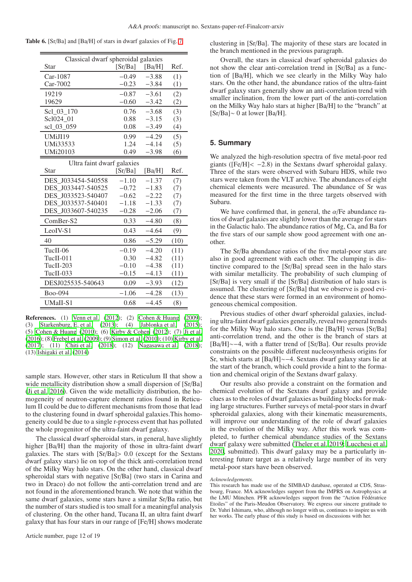|  |  | Table 6. [Sr/Ba] and [Ba/H] of stars in dwarf galaxies of Fig. 7 |  |  |  |  |  |
|--|--|------------------------------------------------------------------|--|--|--|--|--|
|--|--|------------------------------------------------------------------|--|--|--|--|--|

<span id="page-11-0"></span>

| Classical dwarf spheroidal galaxies |         |         |      |
|-------------------------------------|---------|---------|------|
| Star                                | [Sr/Ba] | [Ba/H]  | Ref. |
| Car-1087                            | $-0.49$ | $-3.88$ | (1)  |
| Car-7002                            | $-0.23$ | $-3.84$ | (1)  |
| 19219                               | $-0.87$ | $-3.61$ | (2)  |
| 19629                               | $-0.60$ | $-3.42$ | (2)  |
| Scl 03 170                          | 0.76    | $-3.68$ | (3)  |
| Scl024 01                           | 0.88    | $-3.15$ | (3)  |
| scl 03 059                          | 0.08    | $-3.49$ | (4)  |
| UMiJI19                             | 0.99    | $-4.29$ | (5)  |
| UMi33533                            | 1.24    | $-4.14$ | (5)  |
| <b>UMi20103</b>                     | 0.49    | $-3.98$ | (6)  |
| Ultra faint dwarf galaxies          |         |         |      |
| Star                                | [Sr/Ba] | [Ba/H]  | Ref. |
| DES J033454-540558                  | $-1.10$ | $-1.37$ | (7)  |
| DES J033447-540525                  | $-0.72$ | $-1.83$ | (7)  |
| DES J033523-540407                  | $-0.62$ | $-2.22$ | (7)  |
| DES J033537-540401                  | $-1.18$ | $-1.33$ | (7)  |
| DES J033607-540235                  | $-0.28$ | $-2.06$ | (7)  |
| ComBer-S2                           | 0.33    | $-4.80$ | (8)  |
| LeoIV-S1                            | 0.43    | $-4.64$ | (9)  |
| 40                                  | 0.86    | $-5.29$ | (10) |
| TucII-06                            | $-0.19$ | $-4.20$ | (11) |
| $TuclI-011$                         | 0.30    | $-4.82$ | (11) |
| TucII-203                           | $-0.10$ | $-4.38$ | (11) |
| TucII-033                           | $-0.15$ | $-4.13$ | (11) |
| DESJ025535-540643                   | 0.09    | $-3.93$ | (12) |
| Boo-094                             | $-1.06$ | $-4.28$ | (13) |
| UMaII-S1                            | 0.68    | $-4.45$ | (8)  |

**References.** (1) [Venn et al. \(2012\)](#page-12-36); (2) [Cohen & Huang](#page-12-37) [\(2009](#page-12-37)); (3) [Starkenburg, E. et al. \(2013](#page-12-38)); (4) [Jablonka et al.](#page-12-39) [\(2015](#page-12-39)); (5) [Cohen & Huang \(2010\)](#page-12-41); (6) [Kirby & Cohen](#page-12-40) [\(2012](#page-12-40)); (7) [Ji et al.](#page-12-42) [\(2016\)](#page-12-42); (8) [Frebel et al. \(2009](#page-12-43)); (9) [Simon et al.](#page-12-44) [\(2010](#page-12-44)); (10) [Kirby et al.](#page-12-45) [\(2017\)](#page-12-45); (11) [Chiti et al. \(2018\)](#page-12-46); (12) [Nagasawa et al.](#page-12-47) [\(2018](#page-12-47)); (13) [Ishigaki et al. \(2014\)](#page-12-48)

sample stars. However, other stars in Reticulum II that show a wide metallicity distribution show a small dispersion of [Sr/Ba] [\(Ji et al. 2016\)](#page-12-42). Given the wide metallicity distribution, the homogeneity of neutron-capture element ratios found in Reticulum II could be due to different mechanisms from those that lead to the clustering found in dwarf spheroidal galaxies.This homogeneity could be due to a single r-process event that has polluted the whole progenitor of the ultra-faint dwarf galaxy.

The classical dwarf spheroidal stars, in general, have slightly higher [Ba/H] than the majority of those in ultra-faint dwarf galaxies. The stars with [Sr/Ba]> 0.0 (except for the Sextans dwarf galaxy stars) lie on top of the thick anti-correlation trend of the Milky Way halo stars. On the other hand, classical dwarf spheroidal stars with negative [Sr/Ba] (two stars in Carina and two in Draco) do not follow the anti-correlation trend and are not found in the aforementioned branch. We note that within the same dwarf galaxies, some stars have a similar Sr/Ba ratio, but the number of stars studied is too small for a meaningful analysis of clustering. On the other hand, Tucana II, an ultra faint dwarf galaxy that has four stars in our range of [Fe/H] shows moderate clustering in [Sr/Ba]. The majority of these stars are located in the branch mentioned in the previous paragraph.

Overall, the stars in classical dwarf spheroidal galaxies do not show the clear anti-correlation trend in [Sr/Ba] as a function of [Ba/H], which we see clearly in the Milky Way halo stars. On the other hand, the abundance ratios of the ultra-faint dwarf galaxy stars generally show an anti-correlation trend with smaller inclination, from the lower part of the anti-correlation on the Milky Way halo stars at higher [Ba/H] to the "branch" at [Sr/Ba]∼ 0 at lower [Ba/H].

## **5. Summary**

We analyzed the high-resolution spectra of five metal-poor red giants ( $[Fe/H] < -2.8$ ) in the Sextans dwarf spheroidal galaxy. Three of the stars were observed with Subaru HDS, while two stars were taken from the VLT archive. The abundances of eight chemical elements were measured. The abundance of Sr was measured for the first time in the three targets observed with Subaru.

We have confirmed that, in general, the  $\alpha$ /Fe abundance ratios of dwarf galaxies are slightly lower than the average for stars in the Galactic halo. The abundance ratios of Mg, Ca, and Ba for the five stars of our sample show good agreement with one another.

The Sr/Ba abundance ratios of the five metal-poor stars are also in good agreement with each other. The clumping is distinctive compared to the [Sr/Ba] spread seen in the halo stars with similar metallicity. The probability of such clumping of [Sr/Ba] is very small if the [Sr/Ba] distribution of halo stars is assumed. The clustering of [Sr/Ba] that we observe is good evidence that these stars were formed in an environment of homogeneous chemical composition.

Previous studies of other dwarf spheroidal galaxies, including ultra-faint dwarf galaxies generally, reveal two general trends for the Milky Way halo stars. One is the [Ba/H] versus [Sr/Ba] anti-correlation trend, and the other is the branch of stars at [Ba/H]∼−4, with a flatter trend of [Sr/Ba]. Our results provide constraints on the possible different nucleosynthesis origins for Sr, which starts at [Ba/H]∼−4. Sextans dwarf galaxy stars lie at the start of the branch, which could provide a hint to the formation and chemical origin of the Sextans dwarf galaxy.

Our results also provide a constraint on the formation and chemical evolution of the Sextans dwarf galaxy and provide clues as to the roles of dwarf galaxies as building blocks for making large structures. Further surveys of metal-poor stars in dwarf spheroidal galaxies, along with their kinematic measurements, will improve our understanding of the role of dwarf galaxies in the evolution of the Milky way. After this work was completed, to further chemical abundance studies of the Sextans dwarf galaxy were submitted [\(Theler et al. 2019;](#page-12-51) [Lucchesi et](#page-12-52) al. [2020,](#page-12-52) submitted). This dwarf galaxy may be a particularly interesting future target as a relatively large number of its very metal-poor stars have been observed.

#### *Acknowledgements.*

This research has made use of the SIMBAD database, operated at CDS, Strasbourg, France. MA acknowledges support from the IMPRS on Astrophysics at the LMU München. PFR acknowledges support from the "Action Fédératrice Etoiles" of the Paris-Meudon Observatory. We express our sincere gratitude to Dr. Yuhri Ishimaru, who, although no longer with us, continues to inspire us with her works. The early phase of this study is based on discussions with her.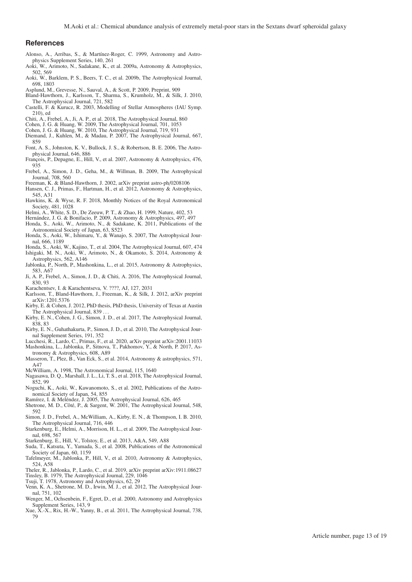## <span id="page-12-21"></span><span id="page-12-20"></span><span id="page-12-19"></span><span id="page-12-18"></span><span id="page-12-17"></span>**References**

- <span id="page-12-25"></span>Alonso, A., Arribas, S., & Martínez-Roger, C. 1999, Astronomy and Astrophysics Supplement Series, 140, 261
- <span id="page-12-8"></span>Aoki, W., Arimoto, N., Sadakane, K., et al. 2009a, Astronomy & Astrophysics, 502, 569
- <span id="page-12-22"></span>Aoki, W., Barklem, P. S., Beers, T. C., et al. 2009b, The Astrophysical Journal, 698, 1803
- <span id="page-12-29"></span>Asplund, M., Grevesse, N., Sauval, A., & Scott, P. 2009, Preprint, 909
- <span id="page-12-7"></span>Bland-Hawthorn, J., Karlsson, T., Sharma, S., Krumholz, M., & Silk, J. 2010, The Astrophysical Journal, 721, 582
- <span id="page-12-15"></span>Castelli, F. & Kurucz, R. 2003, Modelling of Stellar Atmospheres (IAU Symp. 210), ed
- <span id="page-12-46"></span>Chiti, A., Frebel, A., Ji, A. P., et al. 2018, The Astrophysical Journal, 860
- <span id="page-12-37"></span>Cohen, J. G. & Huang, W. 2009, The Astrophysical Journal, 701, 1053
- <span id="page-12-41"></span>Cohen, J. G. & Huang, W. 2010, The Astrophysical Journal, 719, 931
- <span id="page-12-0"></span>Diemand, J., Kuhlen, M., & Madau, P. 2007, The Astrophysical Journal, 667, 859
- <span id="page-12-1"></span>Font, A. S., Johnston, K. V., Bullock, J. S., & Robertson, B. E. 2006, The Astrophysical Journal, 646, 886
- <span id="page-12-49"></span>François, P., Depagne, E., Hill, V., et al. 2007, Astronomy & Astrophysics, 476, 935
- <span id="page-12-43"></span>Frebel, A., Simon, J. D., Geha, M., & Willman, B. 2009, The Astrophysical Journal, 708, 560
- <span id="page-12-5"></span>Freeman, K. & Bland-Hawthorn, J. 2002, arXiv preprint astro-ph/0208106
- <span id="page-12-35"></span>Hansen, C. J., Primas, F., Hartman, H., et al. 2012, Astronomy & Astrophysics, 545, A31
- <span id="page-12-6"></span>Hawkins, K. & Wyse, R. F. 2018, Monthly Notices of the Royal Astronomical Society, 481, 1028
- <span id="page-12-2"></span>Helmi, A., White, S. D., De Zeeuw, P. T., & Zhao, H. 1999, Nature, 402, 53
- <span id="page-12-24"></span>Hernández, J. G. & Bonifacio, P. 2009, Astronomy & Astrophysics, 497, 497
- <span id="page-12-13"></span>Honda, S., Aoki, W., Arimoto, N., & Sadakane, K. 2011, Publications of the Astronomical Society of Japan, 63, S523
- <span id="page-12-27"></span>Honda, S., Aoki, W., Ishimaru, Y., & Wanajo, S. 2007, The Astrophysical Journal, 666, 1189
- <span id="page-12-34"></span>Honda, S., Aoki, W., Kajino, T., et al. 2004, The Astrophysical Journal, 607, 474
- <span id="page-12-48"></span>Ishigaki, M. N., Aoki, W., Arimoto, N., & Okamoto, S. 2014, Astronomy & Astrophysics, 562, A146
- <span id="page-12-39"></span>Jablonka, P., North, P., Mashonkina, L., et al. 2015, Astronomy & Astrophysics, 583, A67
- <span id="page-12-42"></span>Ji, A. P., Frebel, A., Simon, J. D., & Chiti, A. 2016, The Astrophysical Journal, 830, 93
- <span id="page-12-26"></span>Karachentsev, I. & Karachentseva, V. ????, AJ, 127, 2031
- <span id="page-12-10"></span>Karlsson, T., Bland-Hawthorn, J., Freeman, K., & Silk, J. 2012, arXiv preprint arXiv:1201.5376
- <span id="page-12-40"></span>Kirby, E. & Cohen, J. 2012, PhD thesis, PhD thesis, University of Texas at Austin The Astrophysical Journal, 839
- <span id="page-12-45"></span>Kirby, E. N., Cohen, J. G., Simon, J. D., et al. 2017, The Astrophysical Journal, 838, 83
- <span id="page-12-32"></span>Kirby, E. N., Guhathakurta, P., Simon, J. D., et al. 2010, The Astrophysical Journal Supplement Series, 191, 352
- <span id="page-12-52"></span>Lucchesi, R., Lardo, C., Primas, F., et al. 2020, arXiv preprint arXiv:2001.11033
- <span id="page-12-50"></span>Mashonkina, L., Jablonka, P., Sitnova, T., Pakhomov, Y., & North, P. 2017, Astronomy & Astrophysics, 608, A89
- <span id="page-12-31"></span>Masseron, T., Plez, B., Van Eck, S., et al. 2014, Astronomy & astrophysics, 571, A47
- <span id="page-12-28"></span>McWilliam, A. 1998, The Astronomical Journal, 115, 1640
- <span id="page-12-47"></span>Nagasawa, D. Q., Marshall, J. L., Li, T. S., et al. 2018, The Astrophysical Journal, 852, 99
- <span id="page-12-14"></span>Noguchi, K., Aoki, W., Kawanomoto, S., et al. 2002, Publications of the Astronomical Society of Japan, 54, 855
- <span id="page-12-30"></span>Ramírez, I. & Meléndez, J. 2005, The Astrophysical Journal, 626, 465
- <span id="page-12-9"></span>Shetrone, M. D., Côté, P., & Sargent, W. 2001, The Astrophysical Journal, 548, 592
- <span id="page-12-44"></span>Simon, J. D., Frebel, A., McWilliam, A., Kirby, E. N., & Thompson, I. B. 2010, The Astrophysical Journal, 716, 446
- <span id="page-12-3"></span>Starkenburg, E., Helmi, A., Morrison, H. L., et al. 2009, The Astrophysical Journal, 698, 567
- <span id="page-12-38"></span>Starkenburg, E., Hill, V., Tolstoy, E., et al. 2013, A&A, 549, A88
- <span id="page-12-33"></span>Suda, T., Katsuta, Y., Yamada, S., et al. 2008, Publications of the Astronomical Society of Japan, 60, 1159
- <span id="page-12-12"></span>Tafelmeyer, M., Jablonka, P., Hill, V., et al. 2010, Astronomy & Astrophysics, 524, A58
- <span id="page-12-51"></span>Theler, R., Jablonka, P., Lardo, C., et al. 2019, arXiv preprint arXiv:1911.08627 Tinsley, B. 1979, The Astrophysical Journal, 229, 1046
- <span id="page-12-16"></span><span id="page-12-11"></span>Tsuji, T. 1978, Astronomy and Astrophysics, 62, 29
- <span id="page-12-36"></span>Venn, K. A., Shetrone, M. D., Irwin, M. J., et al. 2012, The Astrophysical Journal, 751, 102
- <span id="page-12-23"></span>Wenger, M., Ochsenbein, F., Egret, D., et al. 2000, Astronomy and Astrophysics Supplement Series, 143, 9
- <span id="page-12-4"></span>Xue, X.-X., Rix, H.-W., Yanny, B., et al. 2011, The Astrophysical Journal, 738, 79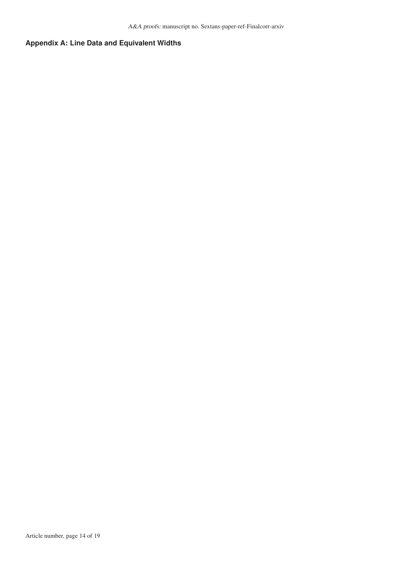## **Appendix A: Line Data and Equivalent Widths**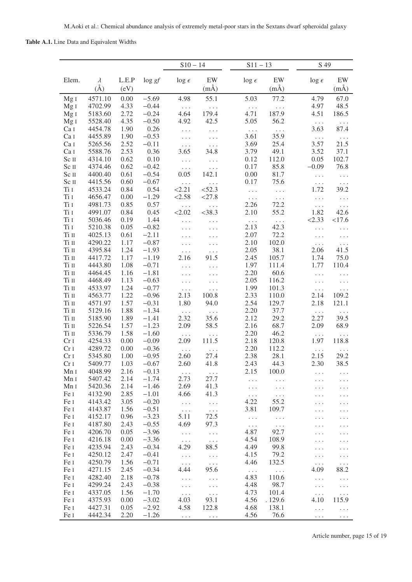## <span id="page-14-0"></span>Table A.1. Line Data and Equivalent Widths

|                                    |                    |                                    |                    | $S10 - 14$             |                      | $S11 - 13$       |                      | S 49                         |                           |
|------------------------------------|--------------------|------------------------------------|--------------------|------------------------|----------------------|------------------|----------------------|------------------------------|---------------------------|
| Elem.                              | $\lambda$          | $\mathbf{L}.\mathbf{E}.\mathbf{P}$ | $\log gf$          | $\log \epsilon$        | EW                   | $\log \epsilon$  | EW                   | $\log \epsilon$              | EW                        |
|                                    | $(\AA)$            | (eV)                               |                    |                        | $(m\AA)$             |                  | $(m\AA)$             |                              | $(m\AA)$                  |
| MgI                                | 4571.10            | 0.00                               | $-5.69$            | 4.98                   | 55.1                 | 5.03             | 77.2                 | 4.79                         | 67.0                      |
| Mg <sub>I</sub>                    | 4702.99            | 4.33                               | $-0.44$            | $\ldots$ .             | $\ldots$             | $\Box$ .         | $\ddotsc$ .          | 4.97                         | 48.5                      |
| Mg <sub>I</sub>                    | 5183.60            | 2.72                               | $-0.24$            | 4.64                   | 179.4                | 4.71             | 187.9                | 4.51                         | 186.5                     |
| Mg <sub>I</sub>                    | 5528.40            | 4.35                               | $-0.50$            | 4.92                   | 42.5                 | 5.05             | 56.2                 | $\ldots$ .                   | $\ldots$                  |
| Ca I                               | 4454.78            | 1.90                               | 0.26               | $\ldots$               | $\sim$ $\sim$ $\sim$ | $\Box$ .         | $\sim$               | 3.63                         | 87.4                      |
| Ca I                               | 4455.89            | 1.90                               | $-0.53$            | $\ldots$               | $\sim$ $\sim$ $\sim$ | 3.61             | 35.9                 | $\Box$ .                     | $\langle \cdot \rangle$ . |
| Ca I                               | 5265.56            | 2.52                               | $-0.11$            | $\Box$ .<br>3.65       | $\ddots$             | 3.69             | 25.4                 | 3.57<br>3.52                 | 21.5                      |
| Ca I<br>Sc II                      | 5588.76<br>4314.10 | 2.53<br>0.62                       | 0.36<br>0.10       |                        | 34.8                 | 3.79<br>0.12     | 49.1<br>112.0        | 0.05                         | 37.1<br>102.7             |
| Sc II                              | 4374.46            | 0.62                               | $-0.42$            | .<br>$\ldots$          | $\ldots$<br>$\ldots$ | 0.17             | 85.8                 | $-0.09$                      | 76.8                      |
| Sc II                              | 4400.40            | 0.61                               | $-0.54$            | 0.05                   | 142.1                | 0.00             | 81.7                 | $\ldots$                     | $\ldots$                  |
| Sc II                              | 4415.56            | 0.60                               | $-0.67$            | $\Box$ .               | $\ldots$             | 0.17             | 75.6                 | $\ddotsc$ .                  | $\ldots$ .                |
| Ti I                               | 4533.24            | 0.84                               | 0.54               | <2.21                  | < 52.3               | $\ldots$         | $\ldots$             | 1.72                         | 39.2                      |
| Ti I                               | 4656.47            | 0.00                               | $-1.29$            | < 2.58                 | <27.8                | $\ldots$         | $\sim$ $\sim$ $\sim$ | .                            | $\ldots$                  |
| $\rm Ti$ $\rm I$                   | 4981.73            | 0.85                               | 0.57               | $\ldots$               | $\ldots$             | 2.26             | 72.2                 | $\ldots$                     | $\ldots$                  |
| $\rm Ti$ $\rm I$                   | 4991.07            | 0.84                               | 0.45               | < 2.02                 | $<$ 38.3             | 2.10             | 55.2                 | 1.82                         | 42.6                      |
| Ti I                               | 5036.46            | 0.19                               | 1.44               | $\ldots$               | $\ldots$             | $\Box$ .         | $\ldots$             | < 2.33                       | <17.6                     |
| Ti I                               | 5210.38            | 0.05                               | $-0.82$            | $\sim$ $\sim$ $\sim$   | $\ldots$             | 2.13             | 42.3                 | $\ldots$                     | $\ldots$                  |
| Ti II                              | 4025.13            | 0.61                               | $-2.11$            | $\ldots$               | $\cdots$             | 2.07             | 72.2                 | $\ldots$ .                   | $\ldots$                  |
| $\rm Ti~II$                        | 4290.22            | 1.17                               | $-0.87$            | $\cdots$               | .                    | 2.10             | 102.0                | .<br>2.06                    | $\ldots$                  |
| Ti II<br>Ti II                     | 4395.84<br>4417.72 | 1.24<br>1.17                       | $-1.93$<br>$-1.19$ | .<br>2.16              | $\cdots$<br>91.5     | 2.05<br>2.45     | 38.1<br>105.7        | 1.74                         | 41.5<br>75.0              |
| Ti II                              | 4443.80            | 1.08                               | $-0.71$            | $\ldots$               | $\ldots$             | 1.97             | 111.4                | 1.77                         | 110.4                     |
| Ti II                              | 4464.45            | 1.16                               | $-1.81$            | $\ldots$               | $\ldots$             | 2.20             | 60.6                 | $\cdots$                     | .                         |
| Ti II                              | 4468.49            | 1.13                               | $-0.63$            | $\ldots$               | $\ldots$             | 2.05             | 116.2                | $\ddots$                     | $\ldots$                  |
| Ti II                              | 4533.97            | 1.24                               | $-0.77$            | $\ldots$               | .                    | 1.99             | 101.3                | $\ddotsc$ .                  | $\ldots$                  |
| Ti II                              | 4563.77            | 1.22                               | $-0.96$            | 2.13                   | 100.8                | 2.33             | 110.0                | 2.14                         | 109.2                     |
| Ti II                              | 4571.97            | 1.57                               | $-0.31$            | 1.80                   | 94.0                 | 2.54             | 129.7                | 2.18                         | 121.1                     |
| Ti II                              | 5129.16            | 1.88                               | $-1.34$            | $\sim$ $\sim$ $\sim$   | $\sim$ $\sim$ $\sim$ | 2.20             | 37.7                 | $\ldots$ .                   | $\ldots$                  |
| Ti II                              | 5185.90            | 1.89                               | $-1.41$            | 2.32                   | 35.6                 | 2.12             | 29.2                 | 2.27                         | 39.5                      |
| Ti II                              | 5226.54            | 1.57                               | $-1.23$            | 2.09                   | 58.5                 | 2.16             | 68.7                 | 2.09                         | 68.9                      |
| Ti II                              | 5336.79            | 1.58                               | $-1.60$            | $\ldots$ .             | $\ldots$             | 2.20             | 46.2                 | $\ldots$                     | $\cdots$                  |
| Cr <sub>I</sub>                    | 4254.33            | 0.00                               | $-0.09$            | 2.09                   | 111.5                | 2.18             | 120.8                | 1.97                         | 118.8                     |
| Cr <sub>I</sub><br>Cr <sub>I</sub> | 4289.72<br>5345.80 | 0.00<br>1.00                       | $-0.36$<br>$-0.95$ | $\sim$<br>2.60         | $\ldots$<br>27.4     | 2.20<br>2.38     | 112.2<br>28.1        | $\ldots$<br>2.15             | $\ddots$<br>29.2          |
| Cr <sub>I</sub>                    | 5409.77            | 1.03                               | $-0.67$            | 2.60                   | 41.8                 | 2.43             | 44.3                 | 2.30                         | 38.5                      |
| Mn 1                               | 4048.99            | 2.16                               | $-0.13$            | $\sim$ $\sim$ $\sim$   | $\sim$ $\sim$ $\sim$ | 2.15             | 100.0                | .                            |                           |
| Mn 1                               | 5407.42            | 2.14                               | $-1.74$            | 2.73                   | 27.7                 | $\ldots$         | $\ldots$             |                              | $\cdots$                  |
| Mn 1                               | 5420.36            | 2.14                               | $-1.46$            | 2.69                   | 41.3                 | $\cdots$         | $\cdots$             | .                            | .                         |
| Fe I                               | 4132.90            | 2.85                               | $-1.01$            | 4.66                   | 41.3                 | $\ldots$         | $\ldots$             | .                            | .                         |
| Fe I                               | 4143.42            | 3.05                               | $-0.20$            | .                      | $\sim$ $\sim$ $\sim$ | 4.22             | 55.2                 | .                            | .                         |
| Fe I                               | 4143.87            | 1.56                               | $-0.51$            | $\ldots$ .             | $\sim$ $\sim$ $\sim$ | 3.81             | 109.7                | .                            | .                         |
| Fe I                               | 4152.17            | 0.96                               | $-3.23$            | 5.11                   | 72.5                 | $\ldots$         | $\ldots$             | .                            |                           |
| Fe I                               | 4187.80            | 2.43                               | $-0.55$            | 4.69                   | 97.3                 | $\ldots$         | $\ldots$             | .                            |                           |
| Fe I                               | 4206.70            | 0.05                               | $-3.96$            | $\ldots$               | $\ldots$             | 4.87             | 92.7                 | .                            | .                         |
| Fe I                               | 4216.18            | 0.00                               | $-3.36$            | $\ldots$ .             | $\ldots$             | 4.54             | 108.9                | .                            |                           |
| Fe I                               | 4235.94            | 2.43                               | $-0.34$            | 4.29                   | 88.5                 | 4.49             | 99.8                 | $\ldots$                     | $\ldots$                  |
| Fe I<br>Fe I                       | 4250.12<br>4250.79 | 2.47<br>1.56                       | $-0.41$<br>$-0.71$ | $\ldots$<br>$\ldots$ . | $\ddots$<br>$\ldots$ | 4.15<br>4.46     | 79.2<br>132.5        | $\cdots$                     | .                         |
| Fe I                               | 4271.15            | 2.45                               | $-0.34$            | 4.44                   | 95.6                 |                  |                      | $\sim$ $\sim$ $\sim$<br>4.09 | 88.2                      |
| Fe I                               | 4282.40            | 2.18                               | $-0.78$            | $\ldots$               | $\ldots$             | $\Box$ .<br>4.83 | $\ddots$<br>110.6    | $\ldots$                     | $\ldots$                  |
| Fe I                               | 4299.24            | 2.43                               | $-0.38$            | $\ldots$               | $\sim$               | 4.48             | 98.7                 | $\ddots$                     | $\ldots$                  |
| Fe I                               | 4337.05            | 1.56                               | $-1.70$            | $\ldots$               | $\ldots$             | 4.73             | 101.4                | $\ldots$                     | $\ldots$                  |
| Fe I                               | 4375.93            | 0.00                               | $-3.02$            | 4.03                   | 93.1                 | 4.56             | .129.6               | 4.10                         | 115.9                     |
| Fe I                               | 4427.31            | 0.05                               | $-2.92$            | 4.58                   | 122.8                | 4.68             | 138.1                | $\cdots$                     | .                         |
| Fe I                               | 4442.34            | 2.20                               | $-1.26$            | $\ldots$               | $\ldots$ .           | 4.56             | 76.6                 | $\ldots$                     | $\ldots$                  |

Article number, page 15 of 19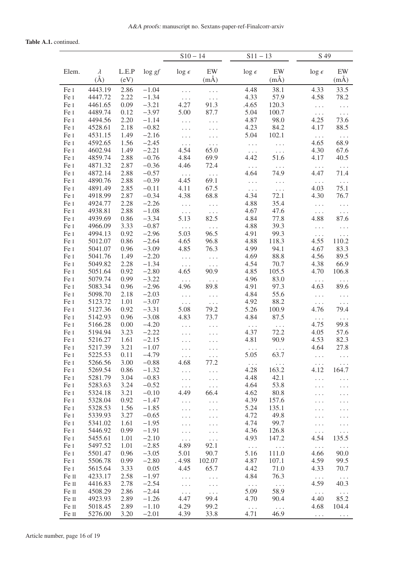## Table A.1. continued.

|                  |                    |              |                    | $S10 - 14$           |                      | $S11 - 13$          |                              | S 49             |                      |
|------------------|--------------------|--------------|--------------------|----------------------|----------------------|---------------------|------------------------------|------------------|----------------------|
| Elem.            | $\lambda$          | L.E.P        | $\log gf$          | $\log \epsilon$      | EW                   | $\log \epsilon$     | EW                           | $\log \epsilon$  | EW                   |
|                  | $(\check{A})$      | (eV)         |                    |                      | $(m\AA)$             |                     | $(m\AA)$                     |                  | $(m\AA)$             |
| Fe I             | 4443.19            | 2.86         | $-1.04$            | $\ldots$ .           | $\cdots$             | 4.48                | 38.1                         | 4.33             | 33.5                 |
| Fe I             | 4447.72            | 2.22         | $-1.34$            | $\sim$ $\sim$ $\sim$ | $\ldots$             | 4.33                | 57.9                         | 4.58             | 78.2                 |
| Fe I             | 4461.65            | 0.09         | $-3.21$            | 4.27                 | 91.3                 | .4.65               | 120.3                        | $\Box$ .         | $\ddots$             |
| Fe I             | 4489.74            | 0.12         | $-3.97$            | 5.00                 | 87.7                 | 5.04                | 100.7                        | $\Box$ .         | $\ldots$             |
| Fe I             | 4494.56            | 2.20         | $-1.14$            | $\ldots$             | $\cdots$             | 4.87                | 98.0                         | 4.25             | 73.6                 |
| Fe I             | 4528.61            | 2.18         | $-0.82$            |                      | $\ldots$             | 4.23                | 84.2                         | 4.17             | 88.5                 |
| Fe I             | 4531.15            | 1.49         | $-2.16$            | $\ldots$             | $\cdots$             | 5.04                | 102.1                        | $\ldots$         | $\ldots$             |
| Fe I             | 4592.65            | 1.56         | $-2.45$            | $\ldots$             | $\ldots$             | .                   | $\ddotsc$ .                  | 4.65             | 68.9                 |
| Fe I             | 4602.94            | 1.49         | $-2.21$            | 4.54                 | 65.0                 | $\Box$ .            | $\sim$ $\sim$ $\sim$         | 4.30             | 67.6                 |
| Fe I             | 4859.74            | 2.88         | $-0.76$            | 4.84                 | 69.9                 | 4.42                | 51.6                         | 4.17             | 40.5                 |
| Fe I<br>Fe I     | 4871.32<br>4872.14 | 2.87<br>2.88 | $-0.36$<br>$-0.57$ | 4.46                 | 72.4                 | $\ldots$<br>4.64    | $\sim$ $\sim$ $\sim$<br>74.9 | $\ldots$<br>4.47 | $\ldots$<br>71.4     |
| Fe I             | 4890.76            | 2.88         | $-0.39$            | $\ldots$ .<br>4.45   | $\ldots$<br>69.1     | $\ldots$ .          |                              |                  | $\ldots$             |
| Fe I             | 4891.49            | 2.85         | $-0.11$            | 4.11                 | 67.5                 | $\ldots$            | $\ldots$<br>$\sim$           | $\ldots$<br>4.03 | 75.1                 |
| Fe I             | 4918.99            | 2.87         | $-0.34$            | 4.38                 | 68.8                 | 4.34                | 72.1                         | 4.30             | 76.7                 |
| Fe I             | 4924.77            | 2.28         | $-2.26$            | $\ldots$             | $\Box$ .             | 4.88                | 35.4                         | $\Box$ .         | $\cdots$             |
| Fe I             | 4938.81            | 2.88         | $-1.08$            | $\sim$ $\sim$ $\sim$ | $\ldots$ .           | 4.67                | 47.6                         | $\ldots$ .       | $\ldots$ .           |
| Fe I             | 4939.69            | 0.86         | $-3.34$            | 5.13                 | 82.5                 | 4.84                | 77.8                         | 4.88             | 87.6                 |
| Fe I             | 4966.09            | 3.33         | $-0.87$            | $\Box$ .             | .                    | 4.88                | 39.3                         | $\ldots$ .       | .                    |
| Fe I             | 4994.13            | 0.92         | $-2.96$            | 5.03                 | 96.5                 | 4.91                | 99.3                         | $\Box$ .         | $\cdots$             |
| Fe I             | 5012.07            | 0.86         | $-2.64$            | 4.65                 | 96.8                 | 4.88                | 118.3                        | 4.55             | 110.2                |
| Fe I             | 5041.07            | 0.96         | $-3.09$            | 4.85                 | 76.3                 | 4.99                | 94.1                         | 4.67             | 83.3                 |
| Fe I             | 5041.76            | 1.49         | $-2.20$            | $\ldots$             | $\ldots$             | 4.69                | 88.8                         | 4.56             | 89.5                 |
| Fe I             | 5049.82            | 2.28         | $-1.34$            | $\ldots$ .           | $\ldots$ .           | 4.54                | 70.7                         | 4.38             | 66.9                 |
| Fe I             | 5051.64            | 0.92         | $-2.80$            | 4.65                 | 90.9                 | 4.85                | 105.5                        | 4.70             | 106.8                |
| Fe I             | 5079.74            | 0.99         | $-3.22$            | $\ldots$ .           | $\ldots$ .           | 4.96                | 83.0                         | $\ldots$ .       | $\Box$ .             |
| Fe I             | 5083.34            | 0.96         | $-2.96$            | 4.96                 | 89.8                 | 4.91                | 97.3                         | 4.63             | 89.6                 |
| Fe I             | 5098.70            | 2.18         | $-2.03$            | $\ldots$ .           | $\ldots$             | 4.84                | 55.6                         | $\ddots$         | .                    |
| Fe I             | 5123.72            | 1.01         | $-3.07$            | $\ldots$ .           | $\sim$ $\sim$ $\sim$ | 4.92                | 88.2                         | $\ldots$ .       | $\cdots$             |
| Fe I<br>Fe I     | 5127.36<br>5142.93 | 0.92<br>0.96 | $-3.31$<br>$-3.08$ | 5.08<br>4.83         | 79.2<br>73.7         | 5.26<br>4.84        | 100.9<br>87.5                | 4.76             | 79.4                 |
| Fe I             | 5166.28            | 0.00         | $-4.20$            |                      |                      |                     |                              | $\ldots$<br>4.75 | $\ldots$<br>99.8     |
| Fe I             | 5194.94            | 3.23         | $-2.22$            | $\cdots$             | $\ldots$<br>$\ldots$ | $\Box$ .<br>4.37    | $\sim$ $\sim$ $\sim$<br>72.2 | 4.05             | 57.6                 |
| Fe I             | 5216.27            | 1.61         | $-2.15$            | .<br>.               | .                    | 4.81                | 90.9                         | 4.53             | 82.3                 |
| Fe I             | 5217.39            | 3.21         | $-1.07$            |                      | .                    | $\ldots$            | $\ldots$                     | 4.64             | 27.8                 |
| Fe I             | 5225.53            | 0.11         | $-4.79$            | $\cdots$             | $\cdots$             | 5.05                | 63.7                         | $\cdots$         |                      |
| Fe I             | 5266.56            | 3.00         | $-0.88$            | 4.68                 | 77.2                 | $\ldots$            | $\ldots$ .                   | $\ldots$ .       | $\cdots$             |
| Fe I             | 5269.54            | 0.86         | $-1.32$            | $\cdots$             | $\cdots$             | 4.28                | 163.2                        | 4.12             | 164.7                |
| Fe I             | 5281.79            | 3.04         | $-0.83$            | .                    | $\ldots$             | 4.48                | 42.1                         | $\ldots$         | .                    |
| Fe I             | 5283.63            | 3.24         | $-0.52$            | $\ldots$ .           | $\ldots$             | 4.64                | 53.8                         | $\cdots$         | .                    |
| Fe I             | 5324.18            | 3.21         | $-0.10$            | 4.49                 | 66.4                 | 4.62                | 80.8                         |                  |                      |
| Fe I             | 5328.04            | 0.92         | $-1.47$            | $\ldots$             | .                    | 4.39                | 157.6                        | $\ldots$         | .                    |
| Fe I             | 5328.53            | 1.56         | $-1.85$            | $\ldots$             | $\cdots$             | 5.24                | 135.1                        | $\ldots$         |                      |
| Fe I             | 5339.93            | 3.27         | $-0.65$            | $\ldots$             | $\ldots$             | 4.72                | 49.8                         | $\ldots$         | .                    |
| Fe I             | 5341.02            | 1.61         | $-1.95$            | .                    | .                    | 4.74                | 99.7                         | $\cdots$         | .                    |
| Fe I             | 5446.92            | 0.99         | $-1.91$            | .                    | $\ldots$             | 4.36                | 126.8                        | $\ldots$         | .                    |
| Fe I<br>Fe I     | 5455.61<br>5497.52 | 1.01<br>1.01 | $-2.10$<br>$-2.85$ | $\cdots$<br>4.89     | $\ldots$<br>92.1     | 4.93                | 147.2                        | 4.54             | 135.5                |
| Fe I             | 5501.47            | 0.96         | $-3.05$            | 5.01                 | 90.7                 | $\ddotsc$ .<br>5.16 | $\ddotsc$ .<br>111.0         | $\ldots$<br>4.66 | $\ldots$<br>90.0     |
| Fe I             | 5506.78            | 0.99         | $-2.80$            | . 4.98               | 102.07               | 4.87                | 107.1                        | 4.59             | 99.5                 |
| Fe I             | 5615.64            | 3.33         | 0.05               | 4.45                 | 65.7                 | 4.42                | 71.0                         | 4.33             | 70.7                 |
| Fe II            | 4233.17            | 2.58         | $-1.97$            | .                    | .                    | 4.84                | 76.3                         | $\ldots$ .       | $\sim$ $\sim$ $\sim$ |
| Fe II            | 4416.83            | 2.78         | $-2.54$            | $\Box$ .             | $\cdots$             | $\Box$ .            | $\sim$ $\sim$ $\sim$         | 4.59             | 40.3                 |
| Fe II            | 4508.29            | 2.86         | $-2.44$            | $\ldots$             | $\ldots$             | 5.09                | 58.9                         | $\ldots$ .       | $\ldots$             |
| Fe II            | 4923.93            | 2.89         | $-1.26$            | 4.47                 | 99.4                 | 4.70                | 90.4                         | 4.40             | 85.2                 |
| $\rm Fe~\sc II~$ | 5018.45            | 2.89         | $-1.10$            | 4.29                 | 99.2                 | $\ddotsc$ .         | $\ldots$                     | 4.68             | 104.4                |
| Fe II            | 5276.00            | 3.20         | $-2.01$            | 4.39                 | 33.8                 | 4.71                | 46.9                         | $\ldots$ .       | $\ldots$ .           |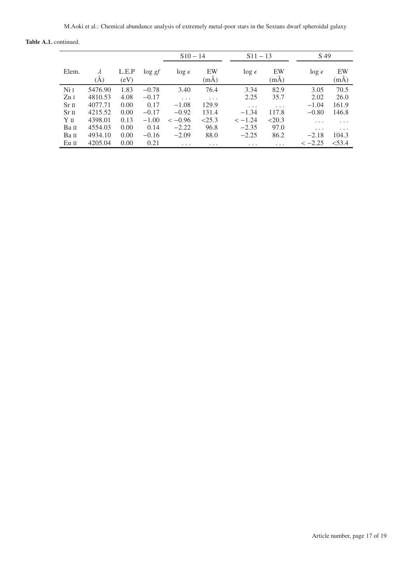|  | <b>Table A.1.</b> continued. |
|--|------------------------------|
|--|------------------------------|

|                  |         |               |           | $S10 - 14$      |            | $S11 - 13$      |                | S 49            |                |
|------------------|---------|---------------|-----------|-----------------|------------|-----------------|----------------|-----------------|----------------|
| Elem.            | (A)     | L.E.P<br>(eV) | $\log gt$ | $\log \epsilon$ | EW<br>(mA) | $\log \epsilon$ | EW<br>$(m\AA)$ | $\log \epsilon$ | EW<br>$(m\AA)$ |
| Ni 1             | 5476.90 | 1.83          | $-0.78$   | 3.40            | 76.4       | 3.34            | 82.9           | 3.05            | 70.5           |
| ZnI              | 4810.53 | 4.08          | $-0.17$   | .               | .          | 2.25            | 35.7           | 2.02            | 26.0           |
| Sr <sub>II</sub> | 4077.71 | 0.00          | 0.17      | $-1.08$         | 129.9      | .               | .              | $-1.04$         | 161.9          |
| Sr <sub>II</sub> | 4215.52 | 0.00          | $-0.17$   | $-0.92$         | 131.4      | $-1.34$         | 117.8          | $-0.80$         | 146.8          |
| YП               | 4398.01 | 0.13          | $-1.00$   | $<-0.96$        | < 25.3     | $<-1.24$        | <20.3          | $\cdots$        | $\cdots$       |
| Ba II            | 4554.03 | 0.00          | 0.14      | $-2.22$         | 96.8       | $-2.35$         | 97.0           | $\cdots$        | $\cdots$       |
| Ba II            | 4934.10 | 0.00          | $-0.16$   | $-2.09$         | 88.0       | $-2.25$         | 86.2           | $-2.18$         | 104.3          |
| Eu II            | 4205.04 | 0.00          | 0.21      | .               | .          | .               | $\cdots$       | $<-2.25$        | < 53.4         |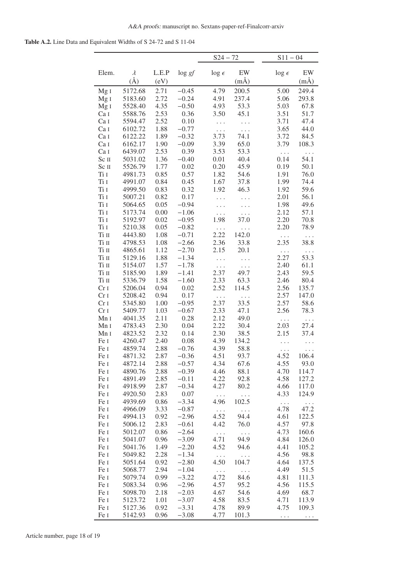Table A.2. Line Data and Equivalent Widths of S 24-72 and S 11-04

|                  |                    |              |                    | $S24 - 72$      |               | $S11 - 04$       |                   |
|------------------|--------------------|--------------|--------------------|-----------------|---------------|------------------|-------------------|
| Elem.            | $\lambda$          | L.E.P        | $\log gf$          | $\log \epsilon$ | $\mathbf{EW}$ | $\log \epsilon$  | $\mathop{\rm EW}$ |
|                  | $(\AA)$            | (eV)         |                    |                 | $(m\AA)$      |                  | $(m\AA)$          |
| MgI              | 5172.68            | 2.71         | $-0.45$            | 4.79            | 200.5         | 5.00             | 249.4             |
| Mg <sub>I</sub>  | 5183.60            | 2.72         | $-0.24$            | 4.91            | 237.4         | 5.06             | 293.8             |
| Mg <sub>I</sub>  | 5528.40            | 4.35         | $-0.50$            | 4.93            | 53.3          | 5.03             | 67.8              |
| Ca I             | 5588.76            | 2.53         | 0.36               | 3.50            | 45.1          | 3.51             | 51.7              |
| Ca I             | 5594.47            | 2.52         | 0.10               | $\cdots$        | $\ldots$      | 3.71             | 47.4              |
| Ca I             | 6102.72            | 1.88         | $-0.77$            | .               | $\ldots$      | 3.65             | 44.0              |
| Ca I             | 6122.22            | 1.89         | $-0.32$            | 3.73            | 74.1          | 3.72             | 84.5              |
| Ca I             | 6162.17            | 1.90         | $-0.09$            | 3.39            | 65.0          | 3.79             | 108.3             |
| Ca I             | 6439.07            | 2.53         | 0.39               | 3.53            | 53.3          | $\ldots$         | .                 |
| Sc II            | 5031.02            | 1.36         | $-0.40$            | 0.01            | 40.4          | 0.14             | 54.1              |
| Sc II<br>Ti I    | 5526.79            | 1.77         | 0.02<br>0.57       | 0.20            | 45.9          | 0.19             | 50.1              |
| Ti I             | 4981.73<br>4991.07 | 0.85<br>0.84 | 0.45               | 1.82<br>1.67    | 54.6<br>37.8  | 1.91<br>1.99     | 76.0<br>74.4      |
| Ti I             | 4999.50            | 0.83         | 0.32               | 1.92            | 46.3          | 1.92             | 59.6              |
| $\rm Ti$ $\rm I$ | 5007.21            | 0.82         | 0.17               | .               | .             | 2.01             | 56.1              |
| $\rm Ti$ $\rm I$ | 5064.65            | 0.05         | $-0.94$            | .               | $\cdots$      | 1.98             | 49.6              |
| $\rm Ti$ $\rm I$ | 5173.74            | 0.00         | $-1.06$            | .               | $\ldots$      | 2.12             | 57.1              |
| Ti I             | 5192.97            | 0.02         | $-0.95$            | 1.98            | 37.0          | 2.20             | 70.8              |
| Ti I             | 5210.38            | 0.05         | $-0.82$            | $\ddots$        | .             | 2.20             | 78.9              |
| $\rm Ti~II$      | 4443.80            | 1.08         | $-0.71$            | 2.22            | 142.0         | $\ldots$         | $\ldots$          |
| $\rm Ti~II$      | 4798.53            | 1.08         | $-2.66$            | 2.36            | 33.8          | 2.35             | 38.8              |
| $\rm Ti~II$      | 4865.61            | 1.12         | $-2.70$            | 2.15            | 20.1          | $\cdots$         | .                 |
| Ti II            | 5129.16            | 1.88         | $-1.34$            | $\cdots$        | .             | 2.27             | 53.3              |
| $\rm Ti~\sc II$  | 5154.07            | 1.57         | $-1.78$            | .               | $\Box$ .      | 2.40             | 61.1              |
| Ti II            | 5185.90            | 1.89         | $-1.41$            | 2.37            | 49.7          | 2.43             | 59.5              |
| Ti II            | 5336.79            | 1.58         | $-1.60$            | 2.33            | 63.3          | 2.46             | 80.4              |
| Cr <sub>I</sub>  | 5206.04            | 0.94         | 0.02               | 2.52            | 114.5         | 2.56             | 135.7             |
| Cr <sub>I</sub>  | 5208.42            | 0.94         | 0.17               | $\ldots$        | $\ldots$      | 2.57             | 147.0             |
| Cr <sub>I</sub>  | 5345.80            | 1.00         | $-0.95$            | 2.37            | 33.5          | 2.57             | 58.6              |
| Cr <sub>I</sub>  | 5409.77            | 1.03         | $-0.67$            | 2.33            | 47.1          | 2.56             | 78.3              |
| Mn I             | 4041.35            | 2.11         | 0.28               | 2.12            | 49.0          | $\ldots$         | $\cdots$          |
| Mn I             | 4783.43            | 2.30<br>2.32 | 0.04               | 2.22<br>2.30    | 30.4          | 2.03             | 27.4              |
| Mn I<br>Fe I     | 4823.52<br>4260.47 | 2.40         | 0.14<br>0.08       | 4.39            | 38.5<br>134.2 | 2.15             | 37.4              |
| Fe I             | 4859.74            | 2.88         | $-0.76$            | 4.39            | 58.8          | .                |                   |
| Fe I             | 4871.32            | 2.87         | $-0.36$            | 4.51            | 93.7          | $\cdots$<br>4.52 | 106.4             |
| Fe I             | 4872.14            | 2.88         | $-0.57$            | 4.34            | 67.6          | 4.55             | 93.0              |
| Fe I             | 4890.76            | 2.88         | $-0.39$            | 4.46            | 88.1          | 4.70             | 114.7             |
| Fe I             | 4891.49            | 2.85         | $-0.11$            | 4.22            | 92.8          | 4.58             | 127.2             |
| Fe I             | 4918.99            | 2.87         | $-0.34$            | 4.27            | 80.2          | 4.66             | 117.0             |
| Fe I             | 4920.50            | 2.83         | 0.07               | $\ldots$        | $\cdots$      | 4.33             | 124.9             |
| Fe I             | 4939.69            | 0.86         | $-3.34$            | 4.96            | 102.5         | $\cdots$         | $\cdots$          |
| Fe I             | 4966.09            | 3.33         | $-0.87$            | $\ldots$        | $\ldots$      | 4.78             | 47.2              |
| Fe I             | 4994.13            | 0.92         | $-2.96$            | 4.52            | 94.4          | 4.61             | 122.5             |
| Fe I             | 5006.12            | 2.83         | $-0.61$            | 4.42            | 76.0          | 4.57             | 97.8              |
| Fe I             | 5012.07            | 0.86         | $-2.64$            | $\ldots$        | $\ldots$      | 4.73             | 160.6             |
| Fe I             | 5041.07            | 0.96         | $-3.09$            | 4.71            | 94.9          | 4.84             | 126.0             |
| Fe I             | 5041.76            | 1.49         | $-2.20$            | 4.52            | 94.6          | 4.41             | 105.2             |
| Fe I             | 5049.82            | 2.28         | $-1.34$            | $\ldots$        | .             | 4.56             | 98.8              |
| Fe I             | 5051.64            | 0.92         | $-2.80$            | 4.50            | 104.7         | 4.64             | 137.5             |
| Fe I             | 5068.77            | 2.94         | $-1.04$            | $\ldots$        | $\ddots$      | 4.49             | 51.5              |
| Fe I             | 5079.74            | 0.99         | $-3.22$            | 4.72<br>4.57    | 84.6          | 4.81             | 111.3             |
| Fe I<br>Fe I     | 5083.34<br>5098.70 | 0.96<br>2.18 | $-2.96$<br>$-2.03$ | 4.67            | 95.2<br>54.6  | 4.56<br>4.69     | 115.5<br>68.7     |
| Fe I             | 5123.72            | 1.01         | $-3.07$            | 4.58            | 83.5          | 4.71             | 113.9             |
| Fe I             | 5127.36            | 0.92         | $-3.31$            | 4.78            | 89.9          | 4.75             | 109.3             |
| Fe I             | 5142.93            | 0.96         | $-3.08$            | 4.77            | 101.3         | $\ldots$         | $\cdots$          |
|                  |                    |              |                    |                 |               |                  |                   |